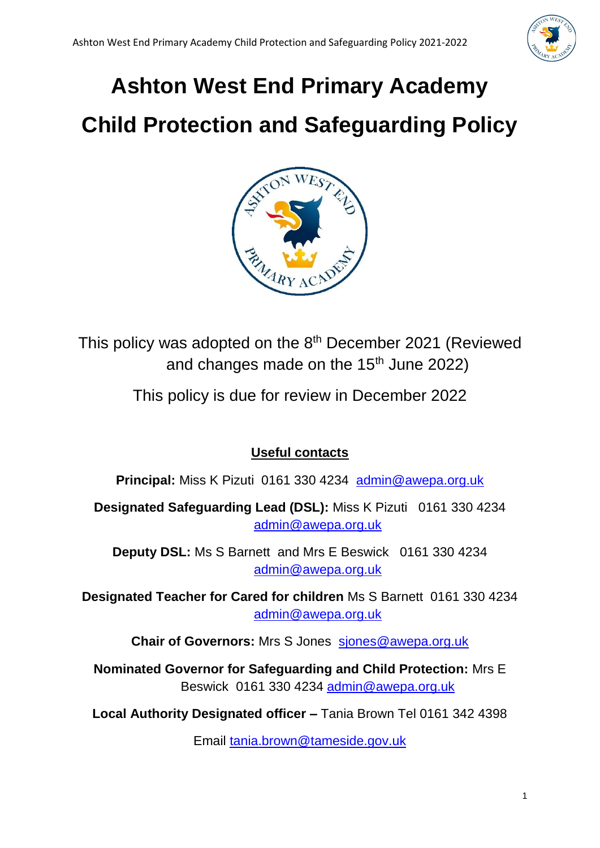

# **Ashton West End Primary Academy**

# **Child Protection and Safeguarding Policy**



This policy was adopted on the 8<sup>th</sup> December 2021 (Reviewed and changes made on the  $15<sup>th</sup>$  June 2022)

This policy is due for review in December 2022

# **Useful contacts**

**Principal:** Miss K Pizuti 0161 330 4234 [admin@awepa.org.uk](mailto:admin@awepa.org.uk)

**Designated Safeguarding Lead (DSL):** Miss K Pizuti 0161 330 4234 [admin@awepa.org.uk](mailto:admin@awepa.org.uk)

**Deputy DSL:** Ms S Barnett and Mrs E Beswick 0161 330 4234 [admin@awepa.org.uk](mailto:admin@awepa.org.uk)

**Designated Teacher for Cared for children** Ms S Barnett 0161 330 4234 [admin@awepa.org.uk](mailto:admin@awepa.org.uk)

**Chair of Governors:** Mrs S Jones[sjones@awepa.org.uk](mailto:sjones@awepa.org.uk)

**Nominated Governor for Safeguarding and Child Protection:** Mrs E Beswick 0161 330 4234 [admin@awepa.org.uk](mailto:admin@awepa.org.uk)

**Local Authority Designated officer –** Tania Brown Tel 0161 342 4398

Email [tania.brown@tameside.gov.uk](mailto:tania.brown@tameside.gov.uk)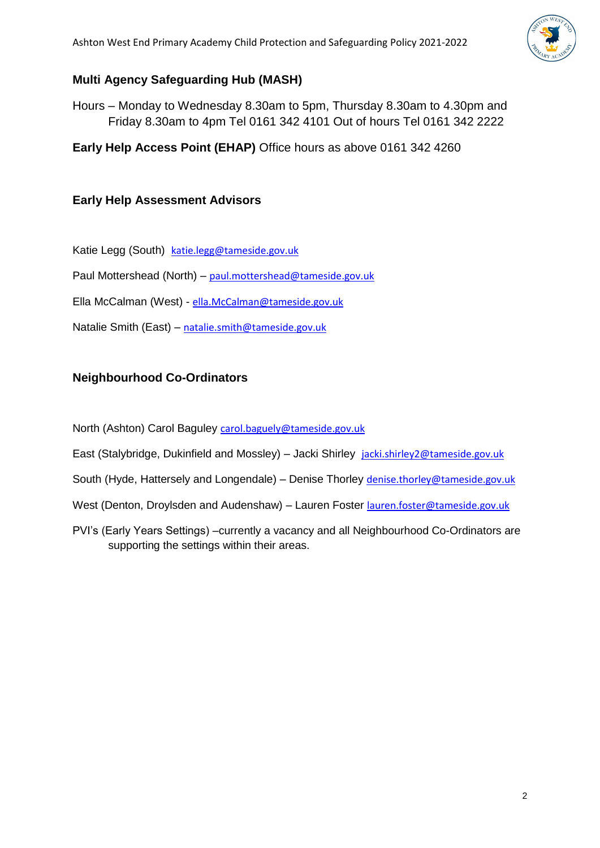

# **Multi Agency Safeguarding Hub (MASH)**

Hours – Monday to Wednesday 8.30am to 5pm, Thursday 8.30am to 4.30pm and Friday 8.30am to 4pm Tel 0161 342 4101 Out of hours Tel 0161 342 2222

**Early Help Access Point (EHAP)** Office hours as above 0161 342 4260

# **Early Help Assessment Advisors**

Katie Legg (South) [katie.legg@tameside.gov.uk](mailto:katie.legg@tameside.gov.uk)

Paul Mottershead (North) – [paul.mottershead@tameside.gov.uk](mailto:paul.mottershead@tameside.gov.uk)

Ella McCalman (West) - [ella.McCalman@tameside.gov.uk](mailto:ella.McCalman@tameside.gov.uk)

Natalie Smith (East) – [natalie.smith@tameside.gov.uk](mailto:natalie.smith@tameside.gov.uk)

# **Neighbourhood Co-Ordinators**

North (Ashton) Carol Baguley [carol.baguely@tameside.gov.uk](mailto:carol.baguely@tameside.gov.uk)

East (Stalybridge, Dukinfield and Mossley) – Jacki Shirley [jacki.shirley2@tameside.gov.uk](mailto:jacki.shirley2@tameside.gov.uk)

South (Hyde, Hattersely and Longendale) – Denise Thorley [denise.thorley@tameside.gov.uk](mailto:denise.thorley@tameside.gov.uk)

West (Denton, Droylsden and Audenshaw) – Lauren Foster [lauren.foster@tameside.gov.uk](mailto:lauren.foster@tameside.gov.uk)

PVI's (Early Years Settings) –currently a vacancy and all Neighbourhood Co-Ordinators are supporting the settings within their areas.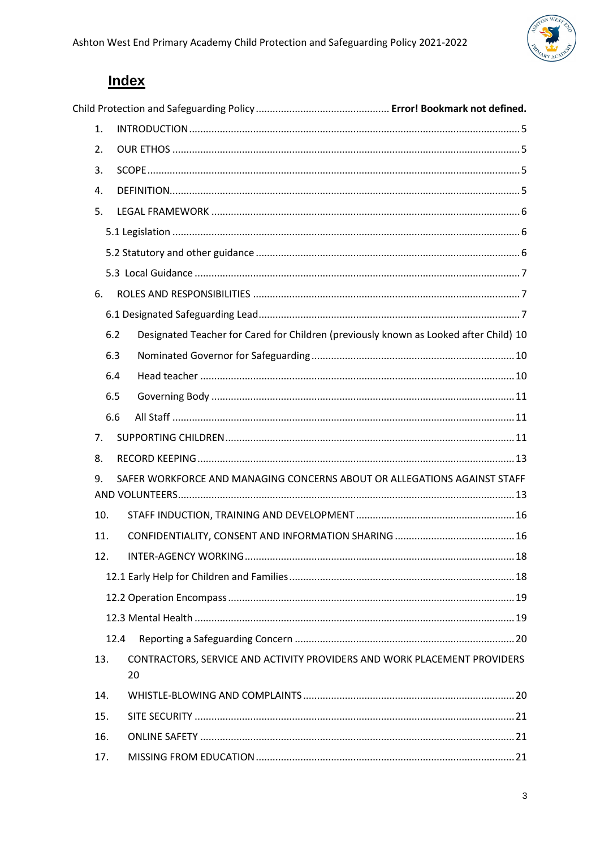

# **Index**

| 1.                                                                             |                                                                                       |  |
|--------------------------------------------------------------------------------|---------------------------------------------------------------------------------------|--|
| 2.                                                                             |                                                                                       |  |
| 3.                                                                             |                                                                                       |  |
| 4.                                                                             |                                                                                       |  |
| 5.                                                                             |                                                                                       |  |
|                                                                                |                                                                                       |  |
|                                                                                |                                                                                       |  |
|                                                                                |                                                                                       |  |
| 6.                                                                             |                                                                                       |  |
|                                                                                |                                                                                       |  |
| 6.2                                                                            | Designated Teacher for Cared for Children (previously known as Looked after Child) 10 |  |
| 6.3                                                                            |                                                                                       |  |
| 6.4                                                                            |                                                                                       |  |
| 6.5                                                                            |                                                                                       |  |
| 6.6                                                                            |                                                                                       |  |
| 7.                                                                             |                                                                                       |  |
| 8.                                                                             |                                                                                       |  |
| 9.<br>SAFER WORKFORCE AND MANAGING CONCERNS ABOUT OR ALLEGATIONS AGAINST STAFF |                                                                                       |  |
|                                                                                |                                                                                       |  |
| 10.                                                                            |                                                                                       |  |
| 11.                                                                            |                                                                                       |  |
| 12.                                                                            |                                                                                       |  |
|                                                                                |                                                                                       |  |
|                                                                                |                                                                                       |  |
|                                                                                |                                                                                       |  |
| 12.4                                                                           |                                                                                       |  |
| 13.                                                                            | CONTRACTORS, SERVICE AND ACTIVITY PROVIDERS AND WORK PLACEMENT PROVIDERS<br>20        |  |
| 14.                                                                            |                                                                                       |  |
| 15.                                                                            |                                                                                       |  |
| 16.                                                                            |                                                                                       |  |
| 17.                                                                            |                                                                                       |  |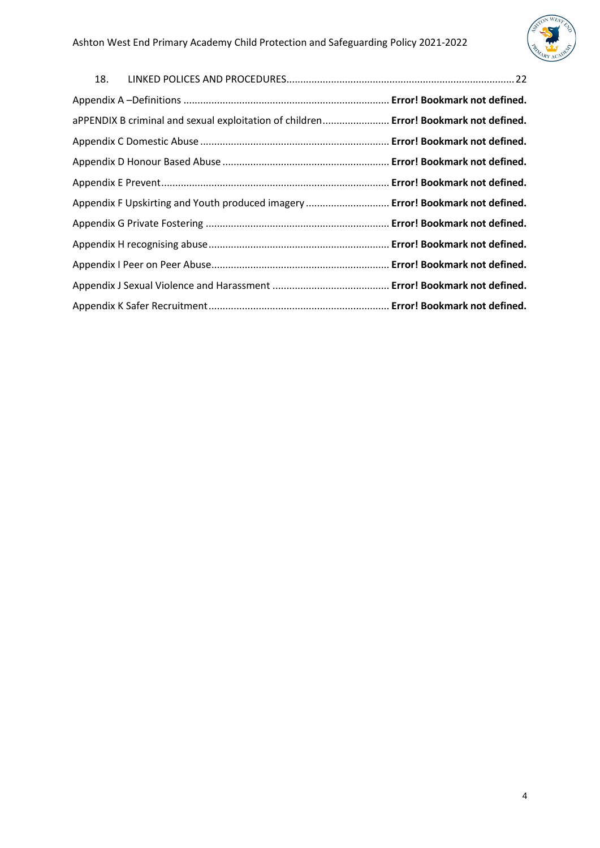

| aPPENDIX B criminal and sexual exploitation of children Error! Bookmark not defined. |  |
|--------------------------------------------------------------------------------------|--|
|                                                                                      |  |
|                                                                                      |  |
|                                                                                      |  |
| Appendix F Upskirting and Youth produced imagery  Error! Bookmark not defined.       |  |
|                                                                                      |  |
|                                                                                      |  |
|                                                                                      |  |
|                                                                                      |  |
|                                                                                      |  |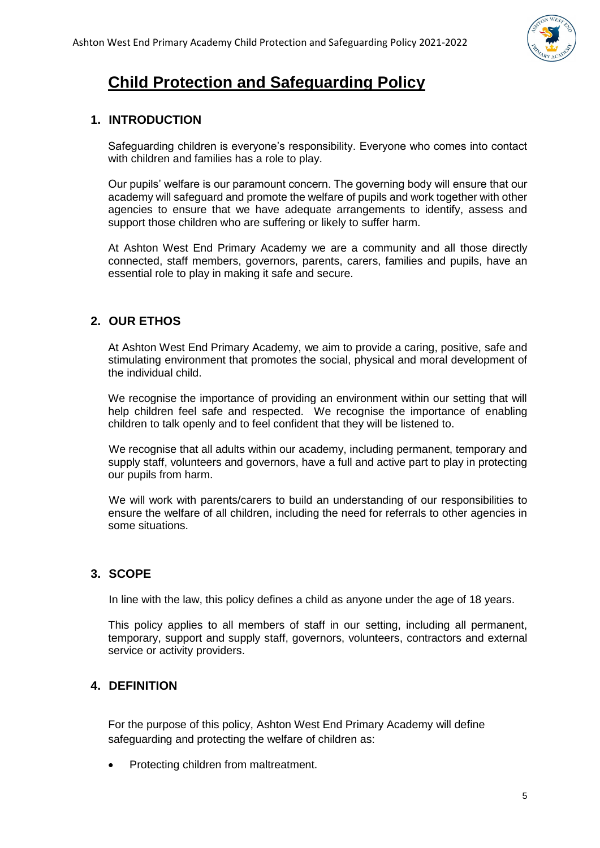

# **Child Protection and Safeguarding Policy**

# <span id="page-4-0"></span>**1. INTRODUCTION**

Safeguarding children is everyone's responsibility. Everyone who comes into contact with children and families has a role to play.

Our pupils' welfare is our paramount concern. The governing body will ensure that our academy will safeguard and promote the welfare of pupils and work together with other agencies to ensure that we have adequate arrangements to identify, assess and support those children who are suffering or likely to suffer harm.

At Ashton West End Primary Academy we are a community and all those directly connected, staff members, governors, parents, carers, families and pupils, have an essential role to play in making it safe and secure.

# <span id="page-4-1"></span>**2. OUR ETHOS**

At Ashton West End Primary Academy, we aim to provide a caring, positive, safe and stimulating environment that promotes the social, physical and moral development of the individual child.

We recognise the importance of providing an environment within our setting that will help children feel safe and respected. We recognise the importance of enabling children to talk openly and to feel confident that they will be listened to.

We recognise that all adults within our academy, including permanent, temporary and supply staff, volunteers and governors, have a full and active part to play in protecting our pupils from harm.

We will work with parents/carers to build an understanding of our responsibilities to ensure the welfare of all children, including the need for referrals to other agencies in some situations.

# <span id="page-4-2"></span>**3. SCOPE**

In line with the law, this policy defines a child as anyone under the age of 18 years.

This policy applies to all members of staff in our setting, including all permanent, temporary, support and supply staff, governors, volunteers, contractors and external service or activity providers.

# <span id="page-4-3"></span>**4. DEFINITION**

For the purpose of this policy, Ashton West End Primary Academy will define safeguarding and protecting the welfare of children as:

• Protecting children from maltreatment.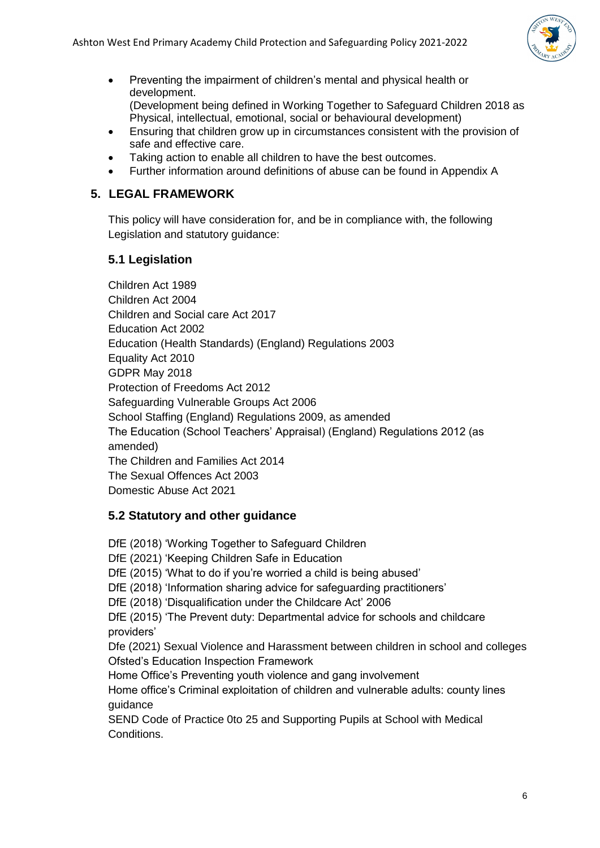

- Preventing the impairment of children's mental and physical health or development. (Development being defined in Working Together to Safeguard Children 2018 as Physical, intellectual, emotional, social or behavioural development)
- Ensuring that children grow up in circumstances consistent with the provision of safe and effective care.
- Taking action to enable all children to have the best outcomes.
- Further information around definitions of abuse can be found in Appendix A

# <span id="page-5-0"></span>**5. LEGAL FRAMEWORK**

This policy will have consideration for, and be in compliance with, the following Legislation and statutory guidance:

# <span id="page-5-1"></span>**5.1 Legislation**

Children Act 1989 Children Act 2004 Children and Social care Act 2017 Education Act 2002 Education (Health Standards) (England) Regulations 2003 Equality Act 2010 GDPR May 2018 Protection of Freedoms Act 2012 Safeguarding Vulnerable Groups Act 2006 School Staffing (England) Regulations 2009, as amended The Education (School Teachers' Appraisal) (England) Regulations 2012 (as amended) The Children and Families Act 2014 The Sexual Offences Act 2003 Domestic Abuse Act 2021

# <span id="page-5-2"></span>**5.2 Statutory and other guidance**

DfE (2018) 'Working Together to Safeguard Children DfE (2021) 'Keeping Children Safe in Education DfE (2015) 'What to do if you're worried a child is being abused' DfE (2018) 'Information sharing advice for safeguarding practitioners' DfE (2018) 'Disqualification under the Childcare Act' 2006 DfE (2015) 'The Prevent duty: Departmental advice for schools and childcare providers' Dfe (2021) Sexual Violence and Harassment between children in school and colleges Ofsted's Education Inspection Framework Home Office's Preventing youth violence and gang involvement Home office's Criminal exploitation of children and vulnerable adults: county lines guidance SEND Code of Practice 0to 25 and Supporting Pupils at School with Medical

Conditions.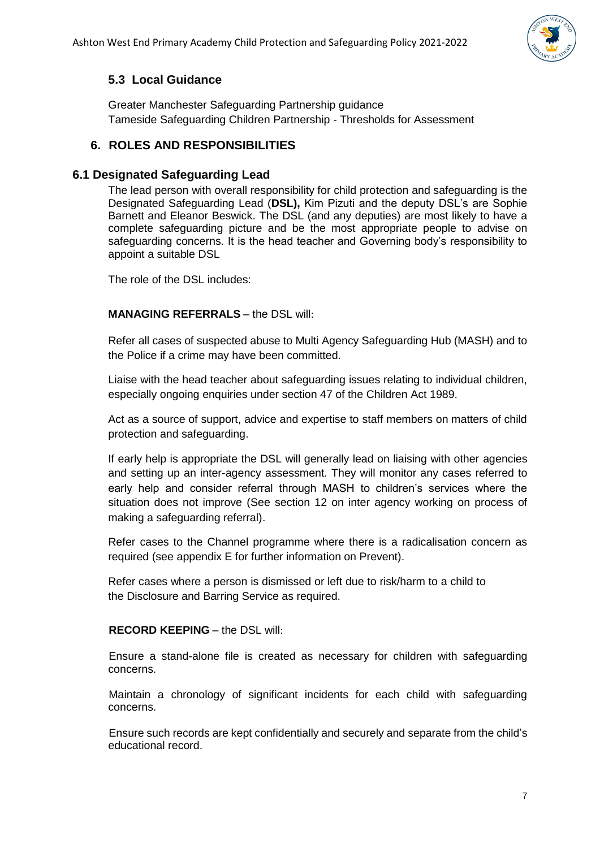

# <span id="page-6-0"></span>**5.3 Local Guidance**

Greater Manchester Safeguarding Partnership guidance Tameside Safeguarding Children Partnership - Thresholds for Assessment

# <span id="page-6-1"></span>**6. ROLES AND RESPONSIBILITIES**

## <span id="page-6-2"></span>**6.1 Designated Safeguarding Lead**

The lead person with overall responsibility for child protection and safeguarding is the Designated Safeguarding Lead (**DSL),** Kim Pizuti and the deputy DSL's are Sophie Barnett and Eleanor Beswick. The DSL (and any deputies) are most likely to have a complete safeguarding picture and be the most appropriate people to advise on safeguarding concerns. It is the head teacher and Governing body's responsibility to appoint a suitable DSL

The role of the DSL includes:

#### **MANAGING REFERRALS** – the DSL will:

Refer all cases of suspected abuse to Multi Agency Safeguarding Hub (MASH) and to the Police if a crime may have been committed.

Liaise with the head teacher about safeguarding issues relating to individual children, especially ongoing enquiries under section 47 of the Children Act 1989.

Act as a source of support, advice and expertise to staff members on matters of child protection and safeguarding.

If early help is appropriate the DSL will generally lead on liaising with other agencies and setting up an inter-agency assessment. They will monitor any cases referred to early help and consider referral through MASH to children's services where the situation does not improve (See section 12 on inter agency working on process of making a safeguarding referral).

Refer cases to the Channel programme where there is a radicalisation concern as required (see appendix E for further information on Prevent).

Refer cases where a person is dismissed or left due to risk/harm to a child to the Disclosure and Barring Service as required.

#### **RECORD KEEPING** – the DSL will:

Ensure a stand-alone file is created as necessary for children with safeguarding concerns.

Maintain a chronology of significant incidents for each child with safeguarding concerns.

Ensure such records are kept confidentially and securely and separate from the child's educational record.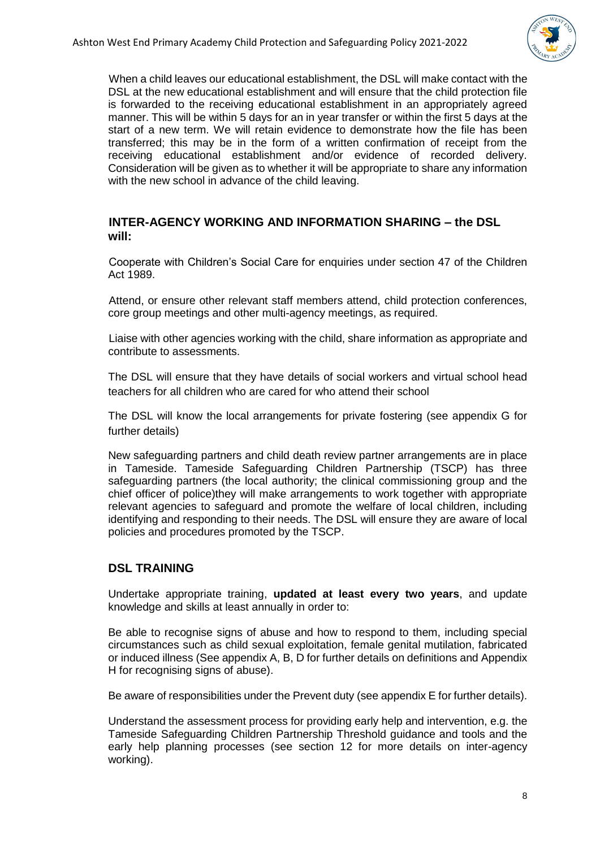

When a child leaves our educational establishment, the DSL will make contact with the DSL at the new educational establishment and will ensure that the child protection file is forwarded to the receiving educational establishment in an appropriately agreed manner. This will be within 5 days for an in year transfer or within the first 5 days at the start of a new term. We will retain evidence to demonstrate how the file has been transferred; this may be in the form of a written confirmation of receipt from the receiving educational establishment and/or evidence of recorded delivery. Consideration will be given as to whether it will be appropriate to share any information with the new school in advance of the child leaving.

#### **INTER-AGENCY WORKING AND INFORMATION SHARING – the DSL will:**

Cooperate with Children's Social Care for enquiries under section 47 of the Children Act 1989.

Attend, or ensure other relevant staff members attend, child protection conferences, core group meetings and other multi-agency meetings, as required.

Liaise with other agencies working with the child, share information as appropriate and contribute to assessments.

The DSL will ensure that they have details of social workers and virtual school head teachers for all children who are cared for who attend their school

The DSL will know the local arrangements for private fostering (see appendix G for further details)

New safeguarding partners and child death review partner arrangements are in place in Tameside. Tameside Safeguarding Children Partnership (TSCP) has three safeguarding partners (the local authority; the clinical commissioning group and the chief officer of police)they will make arrangements to work together with appropriate relevant agencies to safeguard and promote the welfare of local children, including identifying and responding to their needs. The DSL will ensure they are aware of local policies and procedures promoted by the TSCP.

#### **DSL TRAINING**

Undertake appropriate training, **updated at least every two years**, and update knowledge and skills at least annually in order to:

Be able to recognise signs of abuse and how to respond to them, including special circumstances such as child sexual exploitation, female genital mutilation, fabricated or induced illness (See appendix A, B, D for further details on definitions and Appendix H for recognising signs of abuse).

Be aware of responsibilities under the Prevent duty (see appendix E for further details).

Understand the assessment process for providing early help and intervention, e.g. the Tameside Safeguarding Children Partnership Threshold guidance and tools and the early help planning processes (see section 12 for more details on inter-agency working).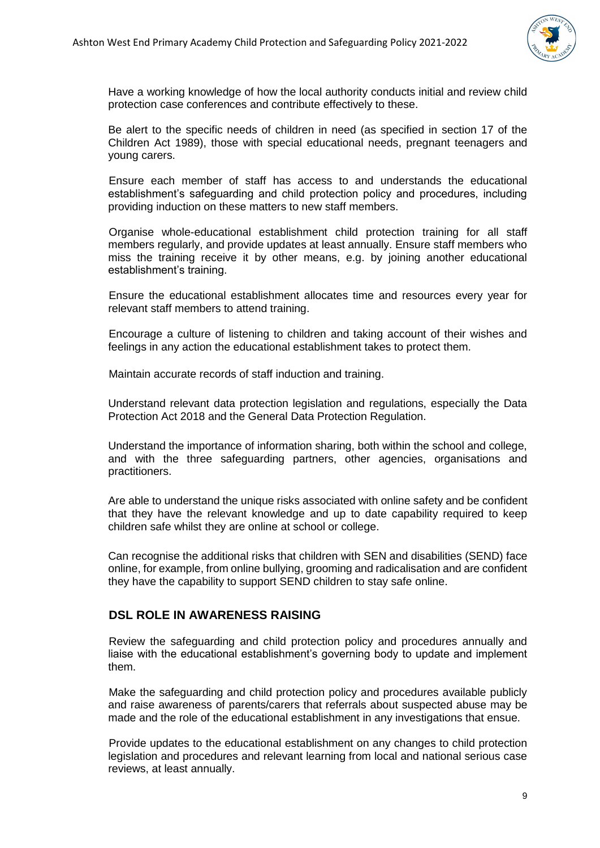

Have a working knowledge of how the local authority conducts initial and review child protection case conferences and contribute effectively to these.

Be alert to the specific needs of children in need (as specified in section 17 of the Children Act 1989), those with special educational needs, pregnant teenagers and young carers.

Ensure each member of staff has access to and understands the educational establishment's safeguarding and child protection policy and procedures, including providing induction on these matters to new staff members.

Organise whole-educational establishment child protection training for all staff members regularly, and provide updates at least annually. Ensure staff members who miss the training receive it by other means, e.g. by joining another educational establishment's training.

Ensure the educational establishment allocates time and resources every year for relevant staff members to attend training.

Encourage a culture of listening to children and taking account of their wishes and feelings in any action the educational establishment takes to protect them.

Maintain accurate records of staff induction and training.

Understand relevant data protection legislation and regulations, especially the Data Protection Act 2018 and the General Data Protection Regulation.

Understand the importance of information sharing, both within the school and college, and with the three safeguarding partners, other agencies, organisations and practitioners.

Are able to understand the unique risks associated with online safety and be confident that they have the relevant knowledge and up to date capability required to keep children safe whilst they are online at school or college.

Can recognise the additional risks that children with SEN and disabilities (SEND) face online, for example, from online bullying, grooming and radicalisation and are confident they have the capability to support SEND children to stay safe online.

## **DSL ROLE IN AWARENESS RAISING**

Review the safeguarding and child protection policy and procedures annually and liaise with the educational establishment's governing body to update and implement them.

Make the safeguarding and child protection policy and procedures available publicly and raise awareness of parents/carers that referrals about suspected abuse may be made and the role of the educational establishment in any investigations that ensue.

Provide updates to the educational establishment on any changes to child protection legislation and procedures and relevant learning from local and national serious case reviews, at least annually.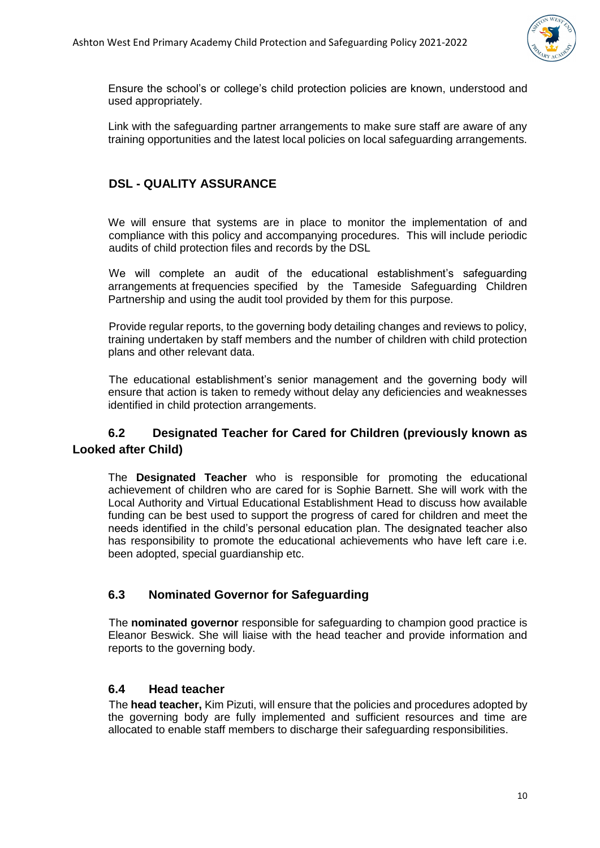

Ensure the school's or college's child protection policies are known, understood and used appropriately.

Link with the safeguarding partner arrangements to make sure staff are aware of any training opportunities and the latest local policies on local safeguarding arrangements.

## **DSL - QUALITY ASSURANCE**

We will ensure that systems are in place to monitor the implementation of and compliance with this policy and accompanying procedures. This will include periodic audits of child protection files and records by the DSL

We will complete an audit of the educational establishment's safeguarding arrangements at frequencies specified by the Tameside Safeguarding Children Partnership and using the audit tool provided by them for this purpose.

Provide regular reports, to the governing body detailing changes and reviews to policy, training undertaken by staff members and the number of children with child protection plans and other relevant data.

The educational establishment's senior management and the governing body will ensure that action is taken to remedy without delay any deficiencies and weaknesses identified in child protection arrangements.

# <span id="page-9-0"></span>**6.2 Designated Teacher for Cared for Children (previously known as Looked after Child)**

The **Designated Teacher** who is responsible for promoting the educational achievement of children who are cared for is Sophie Barnett. She will work with the Local Authority and Virtual Educational Establishment Head to discuss how available funding can be best used to support the progress of cared for children and meet the needs identified in the child's personal education plan. The designated teacher also has responsibility to promote the educational achievements who have left care i.e. been adopted, special guardianship etc.

# <span id="page-9-1"></span>**6.3 Nominated Governor for Safeguarding**

The **nominated governor** responsible for safeguarding to champion good practice is Eleanor Beswick. She will liaise with the head teacher and provide information and reports to the governing body.

### <span id="page-9-2"></span>**6.4 Head teacher**

The **head teacher,** Kim Pizuti, will ensure that the policies and procedures adopted by the governing body are fully implemented and sufficient resources and time are allocated to enable staff members to discharge their safeguarding responsibilities.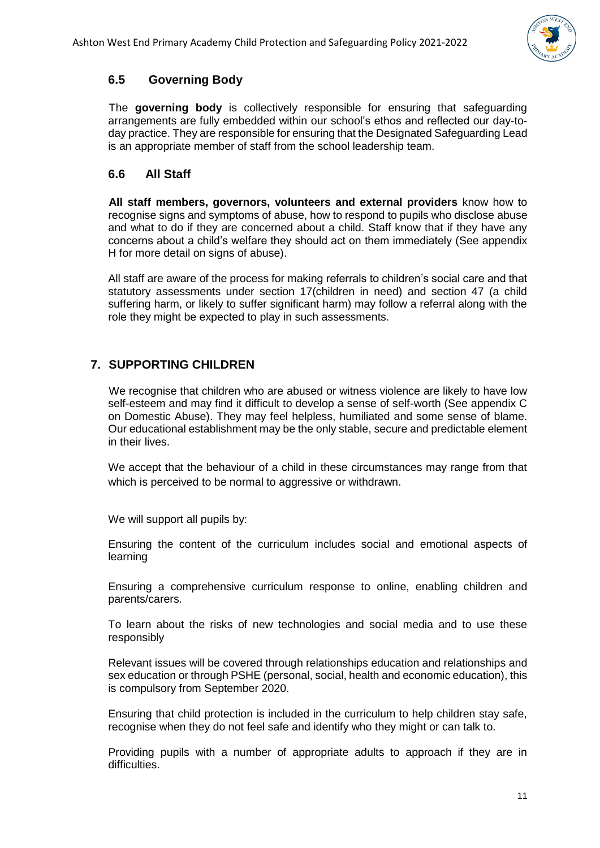

# <span id="page-10-0"></span>**6.5 Governing Body**

The **governing body** is collectively responsible for ensuring that safeguarding arrangements are fully embedded within our school's ethos and reflected our day-today practice. They are responsible for ensuring that the Designated Safeguarding Lead is an appropriate member of staff from the school leadership team.

## <span id="page-10-1"></span>**6.6 All Staff**

**All staff members, governors, volunteers and external providers** know how to recognise signs and symptoms of abuse, how to respond to pupils who disclose abuse and what to do if they are concerned about a child. Staff know that if they have any concerns about a child's welfare they should act on them immediately (See appendix H for more detail on signs of abuse).

All staff are aware of the process for making referrals to children's social care and that statutory assessments under section 17(children in need) and section 47 (a child suffering harm, or likely to suffer significant harm) may follow a referral along with the role they might be expected to play in such assessments.

# <span id="page-10-2"></span>**7. SUPPORTING CHILDREN**

We recognise that children who are abused or witness violence are likely to have low self-esteem and may find it difficult to develop a sense of self-worth (See appendix C on Domestic Abuse). They may feel helpless, humiliated and some sense of blame. Our educational establishment may be the only stable, secure and predictable element in their lives.

We accept that the behaviour of a child in these circumstances may range from that which is perceived to be normal to aggressive or withdrawn.

We will support all pupils by:

Ensuring the content of the curriculum includes social and emotional aspects of learning

Ensuring a comprehensive curriculum response to online, enabling children and parents/carers.

To learn about the risks of new technologies and social media and to use these responsibly

Relevant issues will be covered through relationships education and relationships and sex education or through PSHE (personal, social, health and economic education), this is compulsory from September 2020.

Ensuring that child protection is included in the curriculum to help children stay safe, recognise when they do not feel safe and identify who they might or can talk to.

Providing pupils with a number of appropriate adults to approach if they are in difficulties.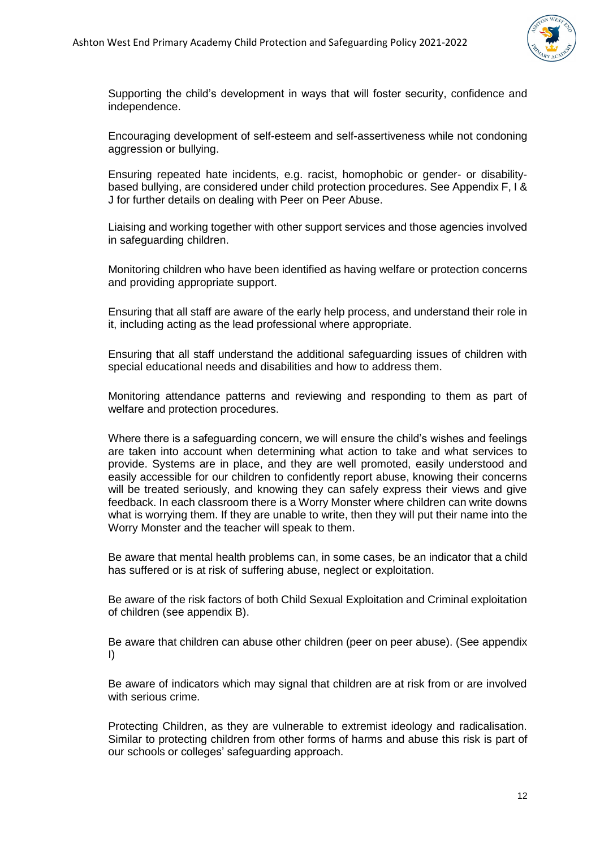

Supporting the child's development in ways that will foster security, confidence and independence.

Encouraging development of self-esteem and self-assertiveness while not condoning aggression or bullying.

Ensuring repeated hate incidents, e.g. racist, homophobic or gender- or disabilitybased bullying, are considered under child protection procedures. See Appendix F, I & J for further details on dealing with Peer on Peer Abuse.

Liaising and working together with other support services and those agencies involved in safeguarding children.

Monitoring children who have been identified as having welfare or protection concerns and providing appropriate support.

Ensuring that all staff are aware of the early help process, and understand their role in it, including acting as the lead professional where appropriate.

Ensuring that all staff understand the additional safeguarding issues of children with special educational needs and disabilities and how to address them.

Monitoring attendance patterns and reviewing and responding to them as part of welfare and protection procedures.

Where there is a safeguarding concern, we will ensure the child's wishes and feelings are taken into account when determining what action to take and what services to provide. Systems are in place, and they are well promoted, easily understood and easily accessible for our children to confidently report abuse, knowing their concerns will be treated seriously, and knowing they can safely express their views and give feedback. In each classroom there is a Worry Monster where children can write downs what is worrying them. If they are unable to write, then they will put their name into the Worry Monster and the teacher will speak to them.

Be aware that mental health problems can, in some cases, be an indicator that a child has suffered or is at risk of suffering abuse, neglect or exploitation.

Be aware of the risk factors of both Child Sexual Exploitation and Criminal exploitation of children (see appendix B).

Be aware that children can abuse other children (peer on peer abuse). (See appendix I)

Be aware of indicators which may signal that children are at risk from or are involved with serious crime.

Protecting Children, as they are vulnerable to extremist ideology and radicalisation. Similar to protecting children from other forms of harms and abuse this risk is part of our schools or colleges' safeguarding approach.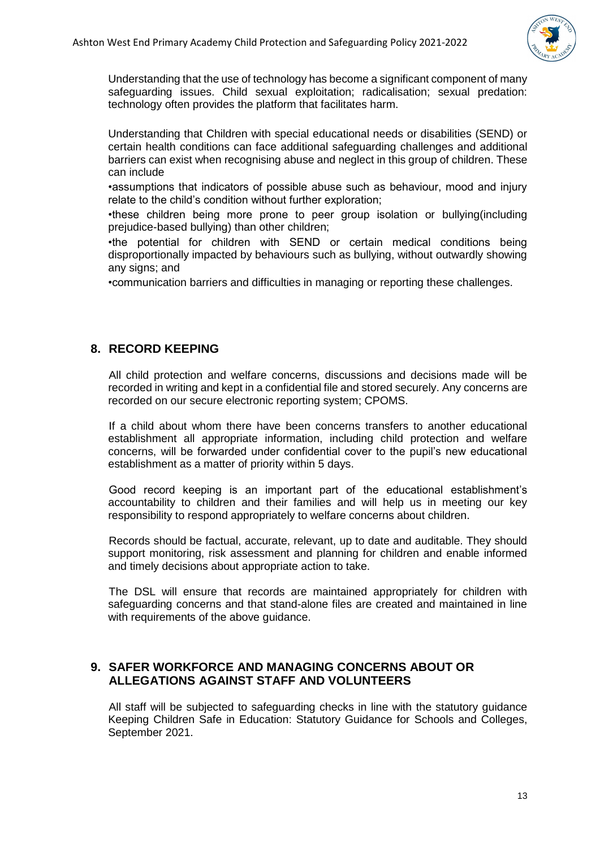

Understanding that the use of technology has become a significant component of many safeguarding issues. Child sexual exploitation; radicalisation; sexual predation: technology often provides the platform that facilitates harm.

Understanding that Children with special educational needs or disabilities (SEND) or certain health conditions can face additional safeguarding challenges and additional barriers can exist when recognising abuse and neglect in this group of children. These can include

•assumptions that indicators of possible abuse such as behaviour, mood and injury relate to the child's condition without further exploration;

•these children being more prone to peer group isolation or bullying(including prejudice-based bullying) than other children;

•the potential for children with SEND or certain medical conditions being disproportionally impacted by behaviours such as bullying, without outwardly showing any signs; and

•communication barriers and difficulties in managing or reporting these challenges.

#### <span id="page-12-0"></span>**8. RECORD KEEPING**

All child protection and welfare concerns, discussions and decisions made will be recorded in writing and kept in a confidential file and stored securely. Any concerns are recorded on our secure electronic reporting system; CPOMS.

If a child about whom there have been concerns transfers to another educational establishment all appropriate information, including child protection and welfare concerns, will be forwarded under confidential cover to the pupil's new educational establishment as a matter of priority within 5 days.

Good record keeping is an important part of the educational establishment's accountability to children and their families and will help us in meeting our key responsibility to respond appropriately to welfare concerns about children.

Records should be factual, accurate, relevant, up to date and auditable. They should support monitoring, risk assessment and planning for children and enable informed and timely decisions about appropriate action to take.

The DSL will ensure that records are maintained appropriately for children with safeguarding concerns and that stand-alone files are created and maintained in line with requirements of the above quidance.

#### <span id="page-12-1"></span>**9. SAFER WORKFORCE AND MANAGING CONCERNS ABOUT OR ALLEGATIONS AGAINST STAFF AND VOLUNTEERS**

All staff will be subjected to safeguarding checks in line with the statutory guidance Keeping Children Safe in Education: Statutory Guidance for Schools and Colleges, September 2021.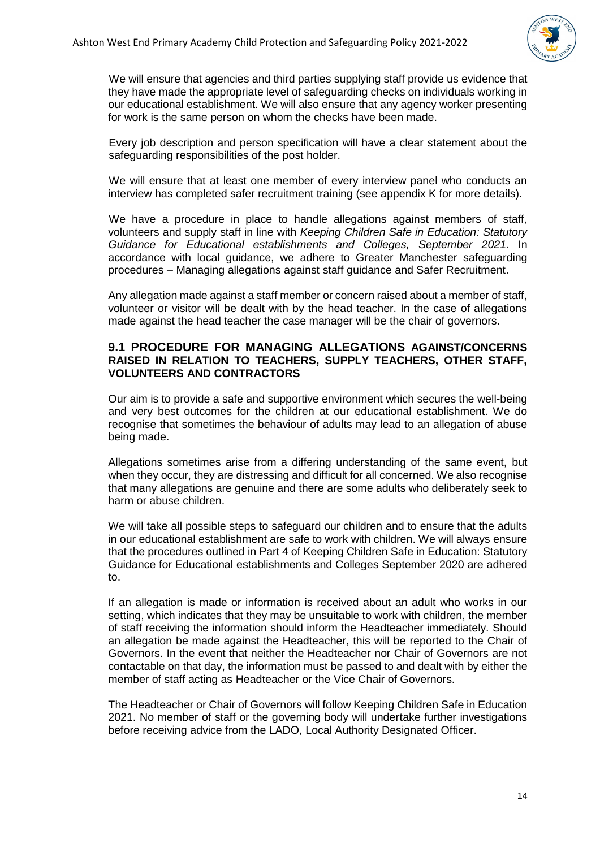

We will ensure that agencies and third parties supplying staff provide us evidence that they have made the appropriate level of safeguarding checks on individuals working in our educational establishment. We will also ensure that any agency worker presenting for work is the same person on whom the checks have been made.

Every job description and person specification will have a clear statement about the safeguarding responsibilities of the post holder.

We will ensure that at least one member of every interview panel who conducts an interview has completed safer recruitment training (see appendix K for more details).

We have a procedure in place to handle allegations against members of staff. volunteers and supply staff in line with *Keeping Children Safe in Education: Statutory Guidance for Educational establishments and Colleges, September 2021.* In accordance with local guidance, we adhere to Greater Manchester safeguarding procedures – Managing allegations against staff guidance and Safer Recruitment.

Any allegation made against a staff member or concern raised about a member of staff, volunteer or visitor will be dealt with by the head teacher. In the case of allegations made against the head teacher the case manager will be the chair of governors.

#### **9.1 PROCEDURE FOR MANAGING ALLEGATIONS AGAINST/CONCERNS RAISED IN RELATION TO TEACHERS, SUPPLY TEACHERS, OTHER STAFF, VOLUNTEERS AND CONTRACTORS**

Our aim is to provide a safe and supportive environment which secures the well-being and very best outcomes for the children at our educational establishment. We do recognise that sometimes the behaviour of adults may lead to an allegation of abuse being made.

Allegations sometimes arise from a differing understanding of the same event, but when they occur, they are distressing and difficult for all concerned. We also recognise that many allegations are genuine and there are some adults who deliberately seek to harm or abuse children.

We will take all possible steps to safeguard our children and to ensure that the adults in our educational establishment are safe to work with children. We will always ensure that the procedures outlined in Part 4 of Keeping Children Safe in Education: Statutory Guidance for Educational establishments and Colleges September 2020 are adhered to.

If an allegation is made or information is received about an adult who works in our setting, which indicates that they may be unsuitable to work with children, the member of staff receiving the information should inform the Headteacher immediately. Should an allegation be made against the Headteacher, this will be reported to the Chair of Governors. In the event that neither the Headteacher nor Chair of Governors are not contactable on that day, the information must be passed to and dealt with by either the member of staff acting as Headteacher or the Vice Chair of Governors.

The Headteacher or Chair of Governors will follow Keeping Children Safe in Education 2021. No member of staff or the governing body will undertake further investigations before receiving advice from the LADO, Local Authority Designated Officer.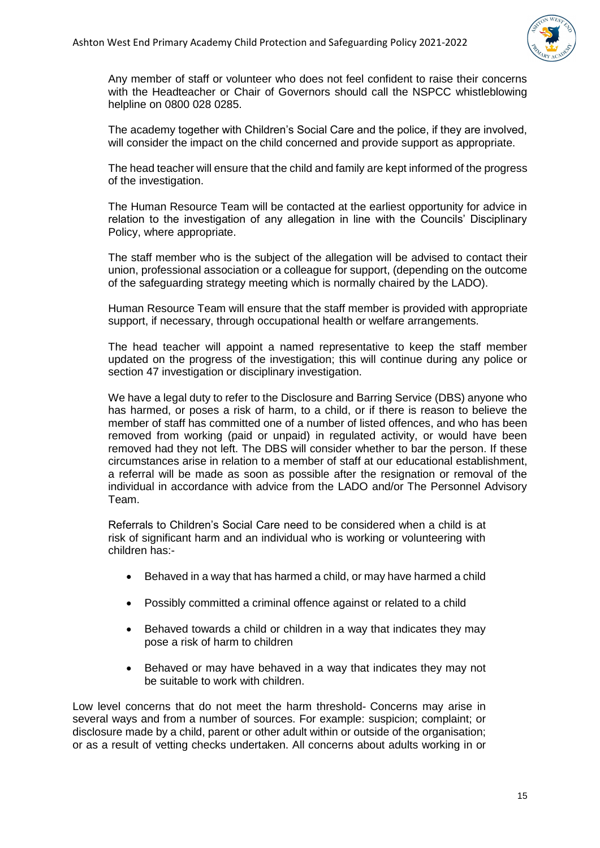

Any member of staff or volunteer who does not feel confident to raise their concerns with the Headteacher or Chair of Governors should call the NSPCC whistleblowing helpline on 0800 028 0285.

The academy together with Children's Social Care and the police, if they are involved, will consider the impact on the child concerned and provide support as appropriate.

The head teacher will ensure that the child and family are kept informed of the progress of the investigation.

The Human Resource Team will be contacted at the earliest opportunity for advice in relation to the investigation of any allegation in line with the Councils' Disciplinary Policy, where appropriate.

The staff member who is the subject of the allegation will be advised to contact their union, professional association or a colleague for support, (depending on the outcome of the safeguarding strategy meeting which is normally chaired by the LADO).

Human Resource Team will ensure that the staff member is provided with appropriate support, if necessary, through occupational health or welfare arrangements.

The head teacher will appoint a named representative to keep the staff member updated on the progress of the investigation; this will continue during any police or section 47 investigation or disciplinary investigation.

We have a legal duty to refer to the Disclosure and Barring Service (DBS) anyone who has harmed, or poses a risk of harm, to a child, or if there is reason to believe the member of staff has committed one of a number of listed offences, and who has been removed from working (paid or unpaid) in regulated activity, or would have been removed had they not left. The DBS will consider whether to bar the person. If these circumstances arise in relation to a member of staff at our educational establishment, a referral will be made as soon as possible after the resignation or removal of the individual in accordance with advice from the LADO and/or The Personnel Advisory Team.

Referrals to Children's Social Care need to be considered when a child is at risk of significant harm and an individual who is working or volunteering with children has:-

- Behaved in a way that has harmed a child, or may have harmed a child
- Possibly committed a criminal offence against or related to a child
- Behaved towards a child or children in a way that indicates they may pose a risk of harm to children
- Behaved or may have behaved in a way that indicates they may not be suitable to work with children.

Low level concerns that do not meet the harm threshold- Concerns may arise in several ways and from a number of sources. For example: suspicion; complaint; or disclosure made by a child, parent or other adult within or outside of the organisation; or as a result of vetting checks undertaken. All concerns about adults working in or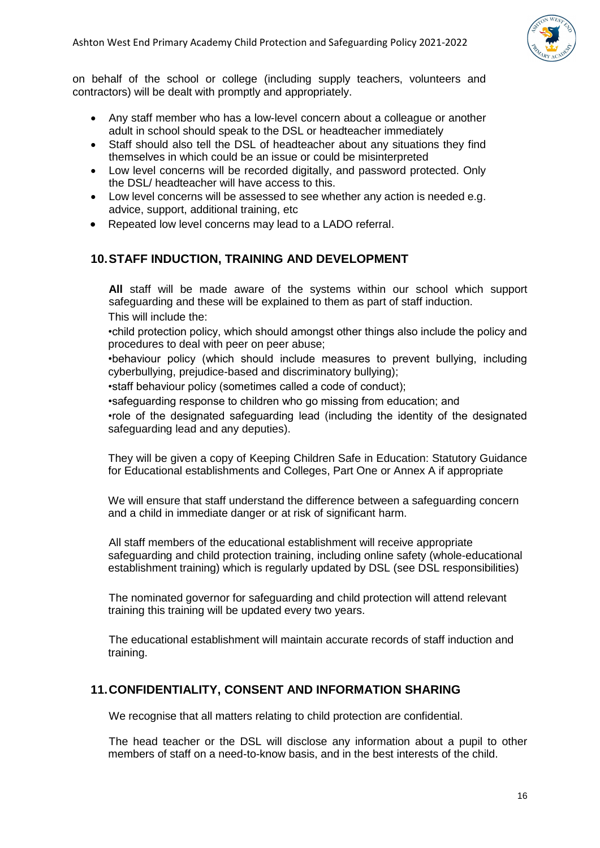

on behalf of the school or college (including supply teachers, volunteers and contractors) will be dealt with promptly and appropriately.

- Any staff member who has a low-level concern about a colleague or another adult in school should speak to the DSL or headteacher immediately
- Staff should also tell the DSL of headteacher about any situations they find themselves in which could be an issue or could be misinterpreted
- Low level concerns will be recorded digitally, and password protected. Only the DSL/ headteacher will have access to this.
- Low level concerns will be assessed to see whether any action is needed e.g. advice, support, additional training, etc
- Repeated low level concerns may lead to a LADO referral.

# <span id="page-15-0"></span>**10.STAFF INDUCTION, TRAINING AND DEVELOPMENT**

**All** staff will be made aware of the systems within our school which support safeguarding and these will be explained to them as part of staff induction. This will include the:

•child protection policy, which should amongst other things also include the policy and procedures to deal with peer on peer abuse;

•behaviour policy (which should include measures to prevent bullying, including cyberbullying, prejudice-based and discriminatory bullying);

•staff behaviour policy (sometimes called a code of conduct);

•safeguarding response to children who go missing from education; and

•role of the designated safeguarding lead (including the identity of the designated safeguarding lead and any deputies).

They will be given a copy of Keeping Children Safe in Education: Statutory Guidance for Educational establishments and Colleges, Part One or Annex A if appropriate

We will ensure that staff understand the difference between a safeguarding concern and a child in immediate danger or at risk of significant harm.

All staff members of the educational establishment will receive appropriate safeguarding and child protection training, including online safety (whole-educational establishment training) which is regularly updated by DSL (see DSL responsibilities)

The nominated governor for safeguarding and child protection will attend relevant training this training will be updated every two years.

The educational establishment will maintain accurate records of staff induction and training.

# <span id="page-15-1"></span>**11.CONFIDENTIALITY, CONSENT AND INFORMATION SHARING**

We recognise that all matters relating to child protection are confidential.

The head teacher or the DSL will disclose any information about a pupil to other members of staff on a need-to-know basis, and in the best interests of the child.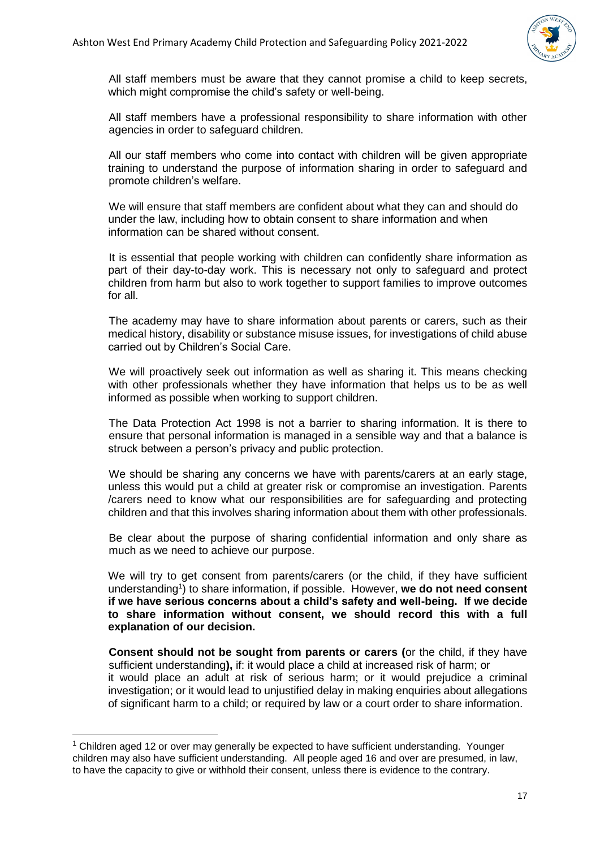

All staff members must be aware that they cannot promise a child to keep secrets, which might compromise the child's safety or well-being.

All staff members have a professional responsibility to share information with other agencies in order to safeguard children.

All our staff members who come into contact with children will be given appropriate training to understand the purpose of information sharing in order to safeguard and promote children's welfare.

We will ensure that staff members are confident about what they can and should do under the law, including how to obtain consent to share information and when information can be shared without consent.

It is essential that people working with children can confidently share information as part of their day-to-day work. This is necessary not only to safeguard and protect children from harm but also to work together to support families to improve outcomes for all.

The academy may have to share information about parents or carers, such as their medical history, disability or substance misuse issues, for investigations of child abuse carried out by Children's Social Care.

We will proactively seek out information as well as sharing it. This means checking with other professionals whether they have information that helps us to be as well informed as possible when working to support children.

The Data Protection Act 1998 is not a barrier to sharing information. It is there to ensure that personal information is managed in a sensible way and that a balance is struck between a person's privacy and public protection.

We should be sharing any concerns we have with parents/carers at an early stage, unless this would put a child at greater risk or compromise an investigation. Parents /carers need to know what our responsibilities are for safeguarding and protecting children and that this involves sharing information about them with other professionals.

Be clear about the purpose of sharing confidential information and only share as much as we need to achieve our purpose.

We will try to get consent from parents/carers (or the child, if they have sufficient understanding<sup>1</sup>) to share information, if possible. However, we do not need consent **if we have serious concerns about a child's safety and well-being. If we decide to share information without consent, we should record this with a full explanation of our decision.**

**Consent should not be sought from parents or carers (**or the child, if they have sufficient understanding**),** if: it would place a child at increased risk of harm; or it would place an adult at risk of serious harm; or it would prejudice a criminal investigation; or it would lead to unjustified delay in making enquiries about allegations of significant harm to a child; or required by law or a court order to share information.

**.** 

<sup>&</sup>lt;sup>1</sup> Children aged 12 or over may generally be expected to have sufficient understanding. Younger children may also have sufficient understanding. All people aged 16 and over are presumed, in law, to have the capacity to give or withhold their consent, unless there is evidence to the contrary.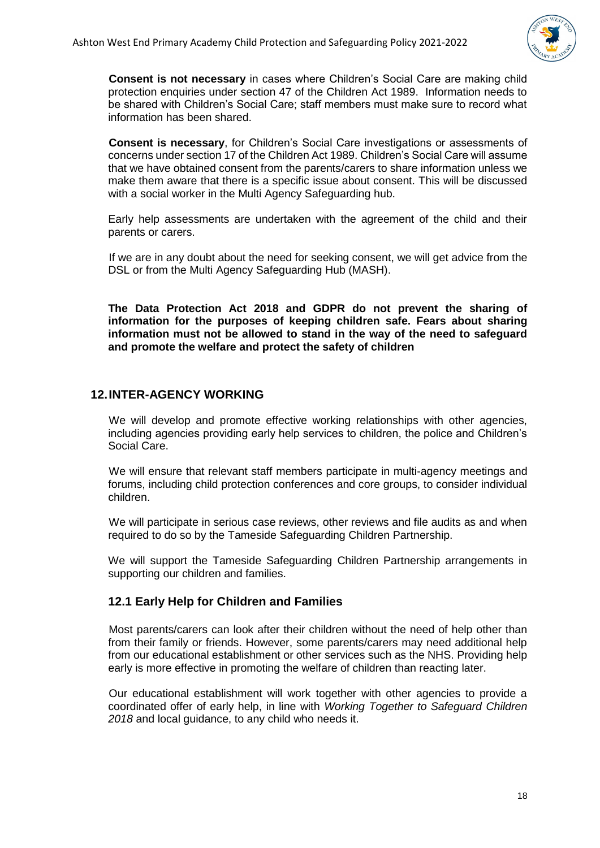

**Consent is not necessary** in cases where Children's Social Care are making child protection enquiries under section 47 of the Children Act 1989. Information needs to be shared with Children's Social Care; staff members must make sure to record what information has been shared.

**Consent is necessary**, for Children's Social Care investigations or assessments of concerns under section 17 of the Children Act 1989. Children's Social Care will assume that we have obtained consent from the parents/carers to share information unless we make them aware that there is a specific issue about consent. This will be discussed with a social worker in the Multi Agency Safeguarding hub.

Early help assessments are undertaken with the agreement of the child and their parents or carers.

If we are in any doubt about the need for seeking consent, we will get advice from the DSL or from the Multi Agency Safeguarding Hub (MASH).

**The Data Protection Act 2018 and GDPR do not prevent the sharing of information for the purposes of keeping children safe. Fears about sharing information must not be allowed to stand in the way of the need to safeguard and promote the welfare and protect the safety of children**

#### <span id="page-17-0"></span>**12.INTER-AGENCY WORKING**

We will develop and promote effective working relationships with other agencies, including agencies providing early help services to children, the police and Children's Social Care.

We will ensure that relevant staff members participate in multi-agency meetings and forums, including child protection conferences and core groups, to consider individual children.

We will participate in serious case reviews, other reviews and file audits as and when required to do so by the Tameside Safeguarding Children Partnership.

We will support the Tameside Safeguarding Children Partnership arrangements in supporting our children and families.

#### <span id="page-17-1"></span>**12.1 Early Help for Children and Families**

Most parents/carers can look after their children without the need of help other than from their family or friends. However, some parents/carers may need additional help from our educational establishment or other services such as the NHS. Providing help early is more effective in promoting the welfare of children than reacting later.

Our educational establishment will work together with other agencies to provide a coordinated offer of early help, in line with *Working Together to Safeguard Children 2018* and local guidance, to any child who needs it.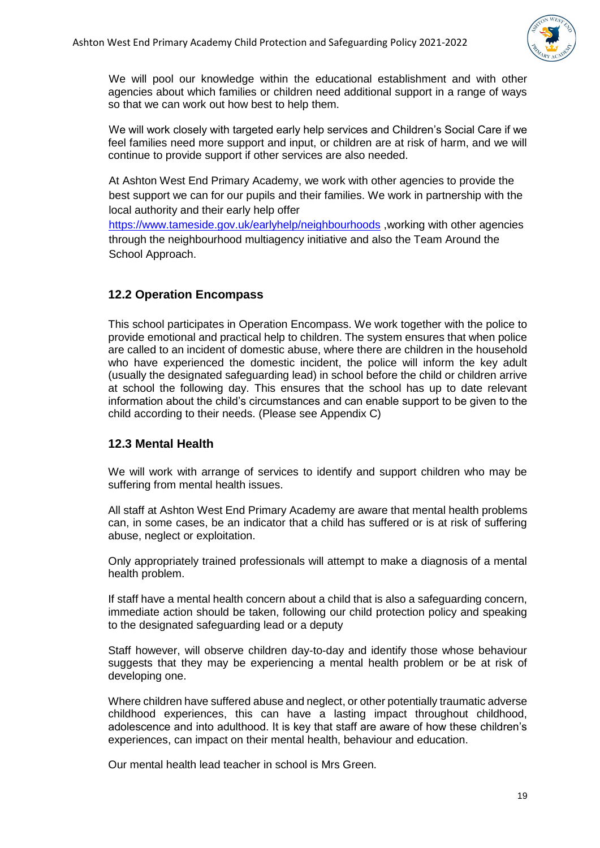

We will pool our knowledge within the educational establishment and with other agencies about which families or children need additional support in a range of ways so that we can work out how best to help them.

We will work closely with targeted early help services and Children's Social Care if we feel families need more support and input, or children are at risk of harm, and we will continue to provide support if other services are also needed.

At Ashton West End Primary Academy, we work with other agencies to provide the best support we can for our pupils and their families. We work in partnership with the local authority and their early help offer

<https://www.tameside.gov.uk/earlyhelp/neighbourhoods> ,working with other agencies through the neighbourhood multiagency initiative and also the Team Around the School Approach.

# <span id="page-18-0"></span>**12.2 Operation Encompass**

This school participates in Operation Encompass. We work together with the police to provide emotional and practical help to children. The system ensures that when police are called to an incident of domestic abuse, where there are children in the household who have experienced the domestic incident, the police will inform the key adult (usually the designated safeguarding lead) in school before the child or children arrive at school the following day. This ensures that the school has up to date relevant information about the child's circumstances and can enable support to be given to the child according to their needs. (Please see Appendix C)

#### <span id="page-18-1"></span>**12.3 Mental Health**

We will work with arrange of services to identify and support children who may be suffering from mental health issues.

All staff at Ashton West End Primary Academy are aware that mental health problems can, in some cases, be an indicator that a child has suffered or is at risk of suffering abuse, neglect or exploitation.

Only appropriately trained professionals will attempt to make a diagnosis of a mental health problem.

If staff have a mental health concern about a child that is also a safeguarding concern, immediate action should be taken, following our child protection policy and speaking to the designated safeguarding lead or a deputy

Staff however, will observe children day-to-day and identify those whose behaviour suggests that they may be experiencing a mental health problem or be at risk of developing one.

Where children have suffered abuse and neglect, or other potentially traumatic adverse childhood experiences, this can have a lasting impact throughout childhood, adolescence and into adulthood. It is key that staff are aware of how these children's experiences, can impact on their mental health, behaviour and education.

Our mental health lead teacher in school is Mrs Green.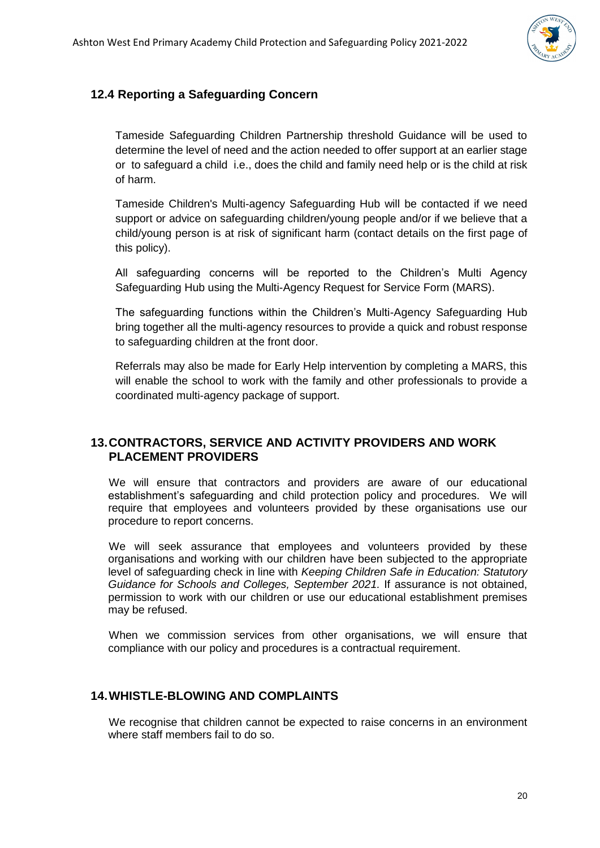

# <span id="page-19-0"></span>**12.4 Reporting a Safeguarding Concern**

Tameside Safeguarding Children Partnership threshold Guidance will be used to determine the level of need and the action needed to offer support at an earlier stage or to safeguard a child i.e., does the child and family need help or is the child at risk of harm.

Tameside Children's Multi-agency Safeguarding Hub will be contacted if we need support or advice on safeguarding children/young people and/or if we believe that a child/young person is at risk of significant harm (contact details on the first page of this policy).

All safeguarding concerns will be reported to the Children's Multi Agency Safeguarding Hub using the Multi-Agency Request for Service Form (MARS).

The safeguarding functions within the Children's Multi-Agency Safeguarding Hub bring together all the multi-agency resources to provide a quick and robust response to safeguarding children at the front door.

Referrals may also be made for Early Help intervention by completing a MARS, this will enable the school to work with the family and other professionals to provide a coordinated multi-agency package of support.

#### <span id="page-19-1"></span>**13.CONTRACTORS, SERVICE AND ACTIVITY PROVIDERS AND WORK PLACEMENT PROVIDERS**

We will ensure that contractors and providers are aware of our educational establishment's safeguarding and child protection policy and procedures. We will require that employees and volunteers provided by these organisations use our procedure to report concerns.

We will seek assurance that employees and volunteers provided by these organisations and working with our children have been subjected to the appropriate level of safeguarding check in line with *Keeping Children Safe in Education: Statutory Guidance for Schools and Colleges, September 2021.* If assurance is not obtained, permission to work with our children or use our educational establishment premises may be refused.

When we commission services from other organisations, we will ensure that compliance with our policy and procedures is a contractual requirement.

#### <span id="page-19-2"></span>**14.WHISTLE-BLOWING AND COMPLAINTS**

We recognise that children cannot be expected to raise concerns in an environment where staff members fail to do so.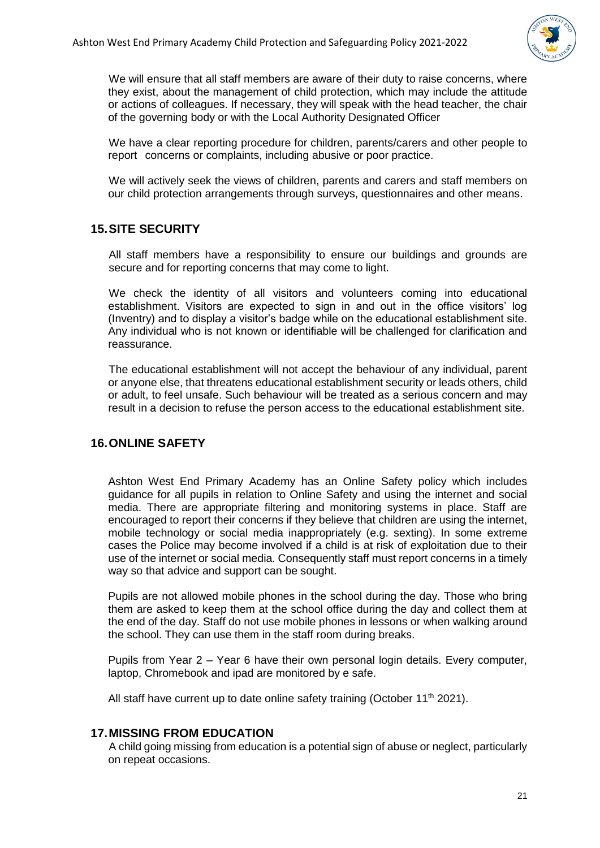

We will ensure that all staff members are aware of their duty to raise concerns, where they exist, about the management of child protection, which may include the attitude or actions of colleagues. If necessary, they will speak with the head teacher, the chair of the governing body or with the Local Authority Designated Officer

We have a clear reporting procedure for children, parents/carers and other people to report concerns or complaints, including abusive or poor practice.

We will actively seek the views of children, parents and carers and staff members on our child protection arrangements through surveys, questionnaires and other means.

#### <span id="page-20-0"></span>**15.SITE SECURITY**

All staff members have a responsibility to ensure our buildings and grounds are secure and for reporting concerns that may come to light.

We check the identity of all visitors and volunteers coming into educational establishment. Visitors are expected to sign in and out in the office visitors' log (Inventry) and to display a visitor's badge while on the educational establishment site. Any individual who is not known or identifiable will be challenged for clarification and reassurance.

The educational establishment will not accept the behaviour of any individual, parent or anyone else, that threatens educational establishment security or leads others, child or adult, to feel unsafe. Such behaviour will be treated as a serious concern and may result in a decision to refuse the person access to the educational establishment site.

# <span id="page-20-1"></span>**16.ONLINE SAFETY**

Ashton West End Primary Academy has an Online Safety policy which includes guidance for all pupils in relation to Online Safety and using the internet and social media. There are appropriate filtering and monitoring systems in place. Staff are encouraged to report their concerns if they believe that children are using the internet, mobile technology or social media inappropriately (e.g. sexting). In some extreme cases the Police may become involved if a child is at risk of exploitation due to their use of the internet or social media. Consequently staff must report concerns in a timely way so that advice and support can be sought.

Pupils are not allowed mobile phones in the school during the day. Those who bring them are asked to keep them at the school office during the day and collect them at the end of the day. Staff do not use mobile phones in lessons or when walking around the school. They can use them in the staff room during breaks.

Pupils from Year 2 – Year 6 have their own personal login details. Every computer, laptop, Chromebook and ipad are monitored by e safe.

All staff have current up to date online safety training (October 11<sup>th</sup> 2021).

#### <span id="page-20-2"></span>**17.MISSING FROM EDUCATION**

A child going missing from education is a potential sign of abuse or neglect, particularly on repeat occasions.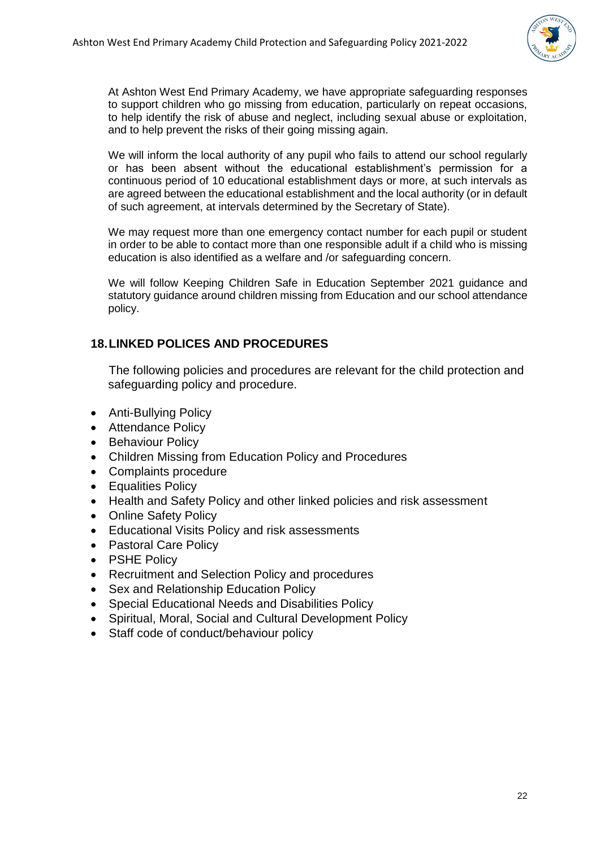

At Ashton West End Primary Academy, we have appropriate safeguarding responses to support children who go missing from education, particularly on repeat occasions, to help identify the risk of abuse and neglect, including sexual abuse or exploitation, and to help prevent the risks of their going missing again.

We will inform the local authority of any pupil who fails to attend our school regularly or has been absent without the educational establishment's permission for a continuous period of 10 educational establishment days or more, at such intervals as are agreed between the educational establishment and the local authority (or in default of such agreement, at intervals determined by the Secretary of State).

We may request more than one emergency contact number for each pupil or student in order to be able to contact more than one responsible adult if a child who is missing education is also identified as a welfare and /or safeguarding concern.

We will follow Keeping Children Safe in Education September 2021 guidance and statutory guidance around children missing from Education and our school attendance policy.

# <span id="page-21-0"></span>**18.LINKED POLICES AND PROCEDURES**

The following policies and procedures are relevant for the child protection and safeguarding policy and procedure.

- Anti-Bullying Policy
- Attendance Policy
- Behaviour Policy
- Children Missing from Education Policy and Procedures
- Complaints procedure
- Equalities Policy
- Health and Safety Policy and other linked policies and risk assessment
- Online Safety Policy
- Educational Visits Policy and risk assessments
- Pastoral Care Policy
- PSHE Policy
- Recruitment and Selection Policy and procedures
- Sex and Relationship Education Policy
- Special Educational Needs and Disabilities Policy
- Spiritual, Moral, Social and Cultural Development Policy
- Staff code of conduct/behaviour policy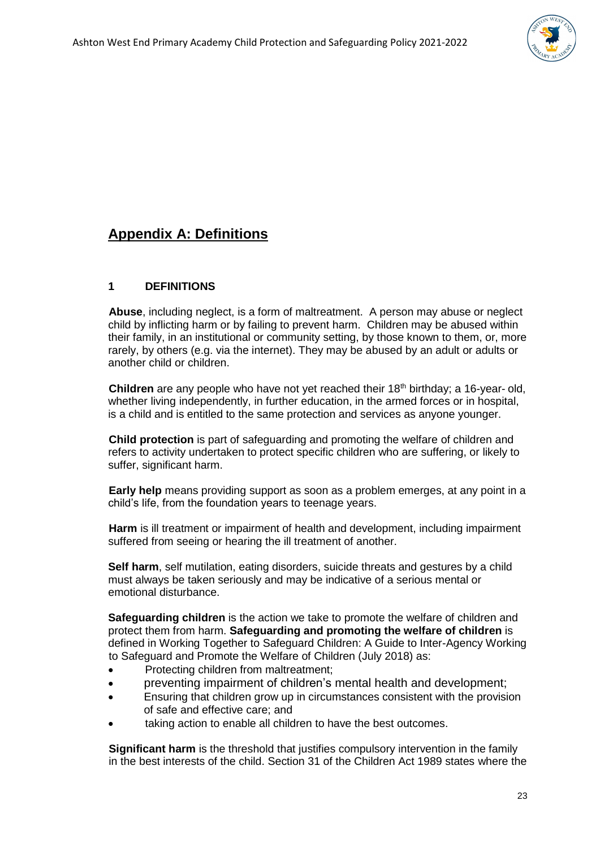

# **Appendix A: Definitions**

#### **1 DEFINITIONS**

**Abuse**, including neglect, is a form of maltreatment. A person may abuse or neglect child by inflicting harm or by failing to prevent harm. Children may be abused within their family, in an institutional or community setting, by those known to them, or, more rarely, by others (e.g. via the internet). They may be abused by an adult or adults or another child or children.

**Children** are any people who have not yet reached their 18<sup>th</sup> birthday; a 16-year- old, whether living independently, in further education, in the armed forces or in hospital, is a child and is entitled to the same protection and services as anyone younger.

**Child protection** is part of safeguarding and promoting the welfare of children and refers to activity undertaken to protect specific children who are suffering, or likely to suffer, significant harm.

**Early help** means providing support as soon as a problem emerges, at any point in a child's life, from the foundation years to teenage years.

**Harm** is ill treatment or impairment of health and development, including impairment suffered from seeing or hearing the ill treatment of another.

**Self harm**, self mutilation, eating disorders, suicide threats and gestures by a child must always be taken seriously and may be indicative of a serious mental or emotional disturbance.

**Safeguarding children** is the action we take to promote the welfare of children and protect them from harm. **Safeguarding and promoting the welfare of children** is defined in Working Together to Safeguard Children: A Guide to Inter-Agency Working to Safeguard and Promote the Welfare of Children (July 2018) as:

- Protecting children from maltreatment;
- preventing impairment of children's mental health and development;
- Ensuring that children grow up in circumstances consistent with the provision of safe and effective care; and
- taking action to enable all children to have the best outcomes.

**Significant harm** is the threshold that justifies compulsory intervention in the family in the best interests of the child. Section 31 of the Children Act 1989 states where the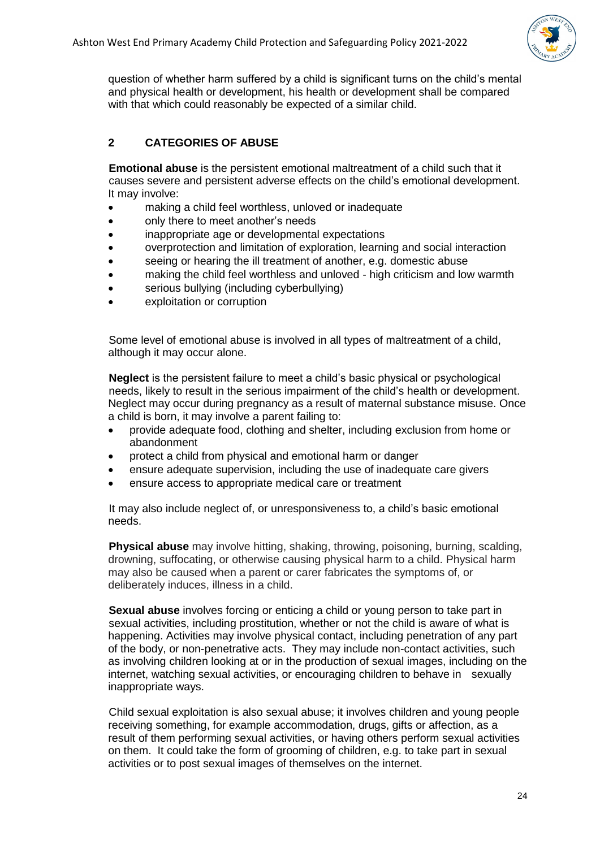

question of whether harm suffered by a child is significant turns on the child's mental and physical health or development, his health or development shall be compared with that which could reasonably be expected of a similar child.

# **2 CATEGORIES OF ABUSE**

**Emotional abuse** is the persistent emotional maltreatment of a child such that it causes severe and persistent adverse effects on the child's emotional development. It may involve:

- making a child feel worthless, unloved or inadequate
- only there to meet another's needs
- inappropriate age or developmental expectations
- overprotection and limitation of exploration, learning and social interaction
- seeing or hearing the ill treatment of another, e.g. domestic abuse
- making the child feel worthless and unloved high criticism and low warmth
- serious bullying (including cyberbullying)
- exploitation or corruption

Some level of emotional abuse is involved in all types of maltreatment of a child, although it may occur alone.

**Neglect** is the persistent failure to meet a child's basic physical or psychological needs, likely to result in the serious impairment of the child's health or development. Neglect may occur during pregnancy as a result of maternal substance misuse. Once a child is born, it may involve a parent failing to:

- provide adequate food, clothing and shelter, including exclusion from home or abandonment
- protect a child from physical and emotional harm or danger
- ensure adequate supervision, including the use of inadequate care givers
- ensure access to appropriate medical care or treatment

It may also include neglect of, or unresponsiveness to, a child's basic emotional needs.

**Physical abuse** may involve hitting, shaking, throwing, poisoning, burning, scalding, drowning, suffocating, or otherwise causing physical harm to a child. Physical harm may also be caused when a parent or carer fabricates the symptoms of, or deliberately induces, illness in a child.

**Sexual abuse** involves forcing or enticing a child or young person to take part in sexual activities, including prostitution, whether or not the child is aware of what is happening. Activities may involve physical contact, including penetration of any part of the body, or non-penetrative acts. They may include non-contact activities, such as involving children looking at or in the production of sexual images, including on the internet, watching sexual activities, or encouraging children to behave in sexually inappropriate ways.

Child sexual exploitation is also sexual abuse; it involves children and young people receiving something, for example accommodation, drugs, gifts or affection, as a result of them performing sexual activities, or having others perform sexual activities on them. It could take the form of grooming of children, e.g. to take part in sexual activities or to post sexual images of themselves on the internet.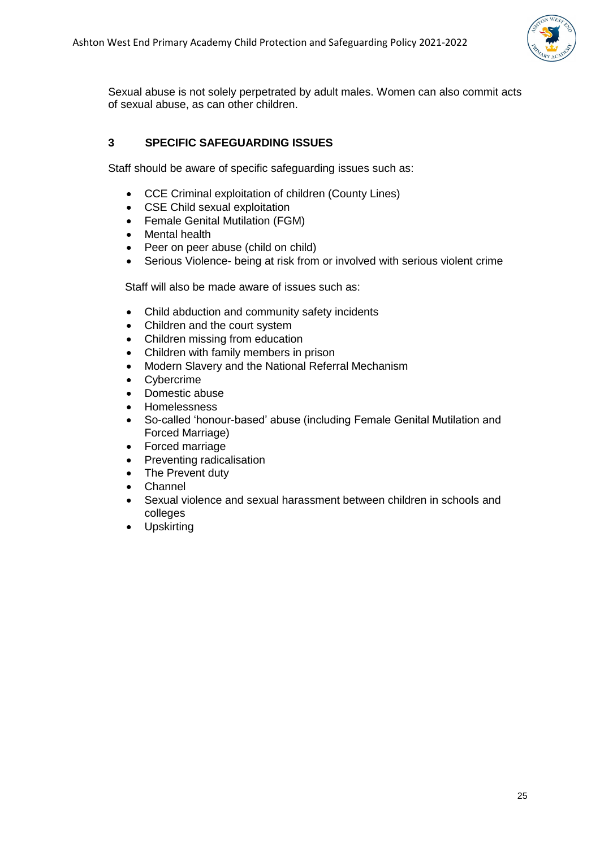

Sexual abuse is not solely perpetrated by adult males. Women can also commit acts of sexual abuse, as can other children.

## **3 SPECIFIC SAFEGUARDING ISSUES**

Staff should be aware of specific safeguarding issues such as:

- CCE Criminal exploitation of children (County Lines)
- CSE Child sexual exploitation
- Female Genital Mutilation (FGM)
- Mental health
- Peer on peer abuse (child on child)
- Serious Violence- being at risk from or involved with serious violent crime

Staff will also be made aware of issues such as:

- Child abduction and community safety incidents
- Children and the court system
- Children missing from education
- Children with family members in prison
- Modern Slavery and the National Referral Mechanism
- Cybercrime
- Domestic abuse
- Homelessness
- So-called 'honour-based' abuse (including Female Genital Mutilation and Forced Marriage)
- Forced marriage
- Preventing radicalisation
- The Prevent duty
- Channel
- Sexual violence and sexual harassment between children in schools and colleges
- Upskirting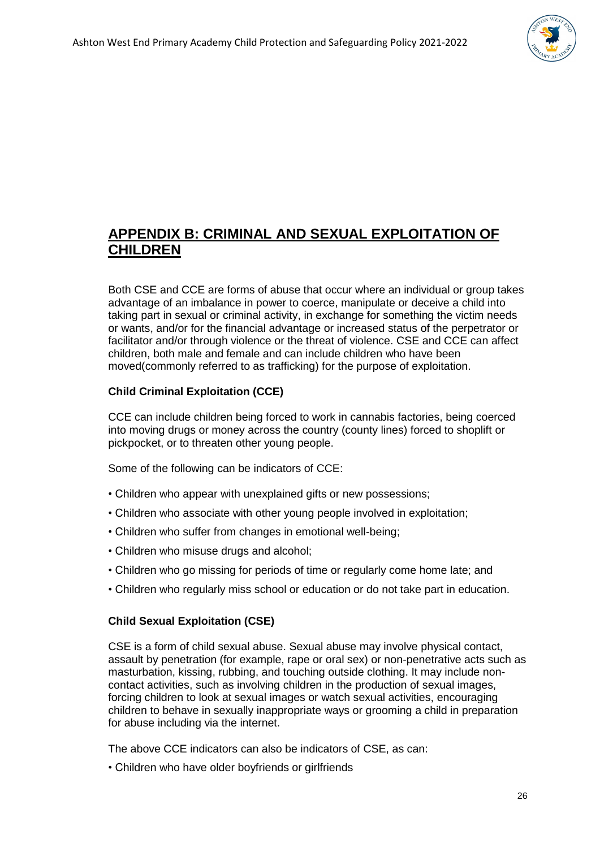

# **APPENDIX B: CRIMINAL AND SEXUAL EXPLOITATION OF CHILDREN**

Both CSE and CCE are forms of abuse that occur where an individual or group takes advantage of an imbalance in power to coerce, manipulate or deceive a child into taking part in sexual or criminal activity, in exchange for something the victim needs or wants, and/or for the financial advantage or increased status of the perpetrator or facilitator and/or through violence or the threat of violence. CSE and CCE can affect children, both male and female and can include children who have been moved(commonly referred to as trafficking) for the purpose of exploitation.

## **Child Criminal Exploitation (CCE)**

CCE can include children being forced to work in cannabis factories, being coerced into moving drugs or money across the country (county lines) forced to shoplift or pickpocket, or to threaten other young people.

Some of the following can be indicators of CCE:

- Children who appear with unexplained gifts or new possessions;
- Children who associate with other young people involved in exploitation;
- Children who suffer from changes in emotional well-being;
- Children who misuse drugs and alcohol;
- Children who go missing for periods of time or regularly come home late; and
- Children who regularly miss school or education or do not take part in education.

#### **Child Sexual Exploitation (CSE)**

CSE is a form of child sexual abuse. Sexual abuse may involve physical contact, assault by penetration (for example, rape or oral sex) or non-penetrative acts such as masturbation, kissing, rubbing, and touching outside clothing. It may include noncontact activities, such as involving children in the production of sexual images, forcing children to look at sexual images or watch sexual activities, encouraging children to behave in sexually inappropriate ways or grooming a child in preparation for abuse including via the internet.

The above CCE indicators can also be indicators of CSE, as can:

• Children who have older boyfriends or girlfriends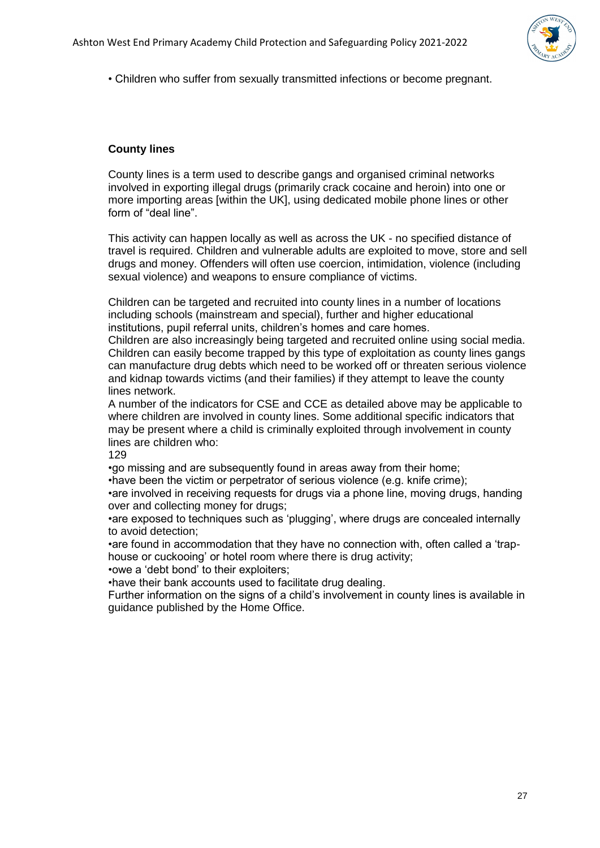

• Children who suffer from sexually transmitted infections or become pregnant.

#### **County lines**

County lines is a term used to describe gangs and organised criminal networks involved in exporting illegal drugs (primarily crack cocaine and heroin) into one or more importing areas [within the UK], using dedicated mobile phone lines or other form of "deal line".

This activity can happen locally as well as across the UK - no specified distance of travel is required. Children and vulnerable adults are exploited to move, store and sell drugs and money. Offenders will often use coercion, intimidation, violence (including sexual violence) and weapons to ensure compliance of victims.

Children can be targeted and recruited into county lines in a number of locations including schools (mainstream and special), further and higher educational institutions, pupil referral units, children's homes and care homes.

Children are also increasingly being targeted and recruited online using social media. Children can easily become trapped by this type of exploitation as county lines gangs can manufacture drug debts which need to be worked off or threaten serious violence and kidnap towards victims (and their families) if they attempt to leave the county lines network.

A number of the indicators for CSE and CCE as detailed above may be applicable to where children are involved in county lines. Some additional specific indicators that may be present where a child is criminally exploited through involvement in county lines are children who:

129

•go missing and are subsequently found in areas away from their home;

•have been the victim or perpetrator of serious violence (e.g. knife crime);

•are involved in receiving requests for drugs via a phone line, moving drugs, handing over and collecting money for drugs;

•are exposed to techniques such as 'plugging', where drugs are concealed internally to avoid detection;

•are found in accommodation that they have no connection with, often called a 'traphouse or cuckooing' or hotel room where there is drug activity;

•owe a 'debt bond' to their exploiters;

•have their bank accounts used to facilitate drug dealing.

Further information on the signs of a child's involvement in county lines is available in guidance published by the Home Office.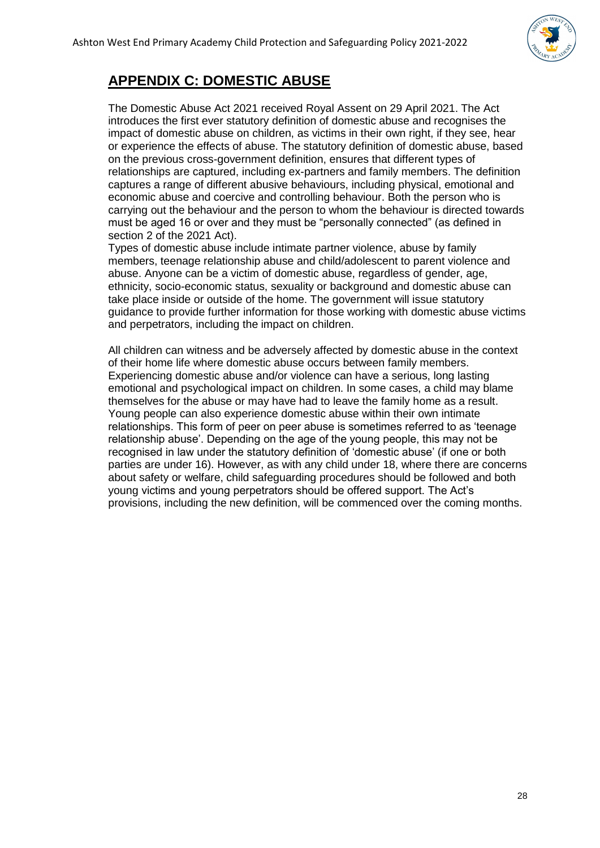

# **APPENDIX C: DOMESTIC ABUSE**

The Domestic Abuse Act 2021 received Royal Assent on 29 April 2021. The Act introduces the first ever statutory definition of domestic abuse and recognises the impact of domestic abuse on children, as victims in their own right, if they see, hear or experience the effects of abuse. The statutory definition of domestic abuse, based on the previous cross-government definition, ensures that different types of relationships are captured, including ex-partners and family members. The definition captures a range of different abusive behaviours, including physical, emotional and economic abuse and coercive and controlling behaviour. Both the person who is carrying out the behaviour and the person to whom the behaviour is directed towards must be aged 16 or over and they must be "personally connected" (as defined in section 2 of the 2021 Act).

Types of domestic abuse include intimate partner violence, abuse by family members, teenage relationship abuse and child/adolescent to parent violence and abuse. Anyone can be a victim of domestic abuse, regardless of gender, age, ethnicity, socio-economic status, sexuality or background and domestic abuse can take place inside or outside of the home. The government will issue statutory guidance to provide further information for those working with domestic abuse victims and perpetrators, including the impact on children.

All children can witness and be adversely affected by domestic abuse in the context of their home life where domestic abuse occurs between family members. Experiencing domestic abuse and/or violence can have a serious, long lasting emotional and psychological impact on children. In some cases, a child may blame themselves for the abuse or may have had to leave the family home as a result. Young people can also experience domestic abuse within their own intimate relationships. This form of peer on peer abuse is sometimes referred to as 'teenage relationship abuse'. Depending on the age of the young people, this may not be recognised in law under the statutory definition of 'domestic abuse' (if one or both parties are under 16). However, as with any child under 18, where there are concerns about safety or welfare, child safeguarding procedures should be followed and both young victims and young perpetrators should be offered support. The Act's provisions, including the new definition, will be commenced over the coming months.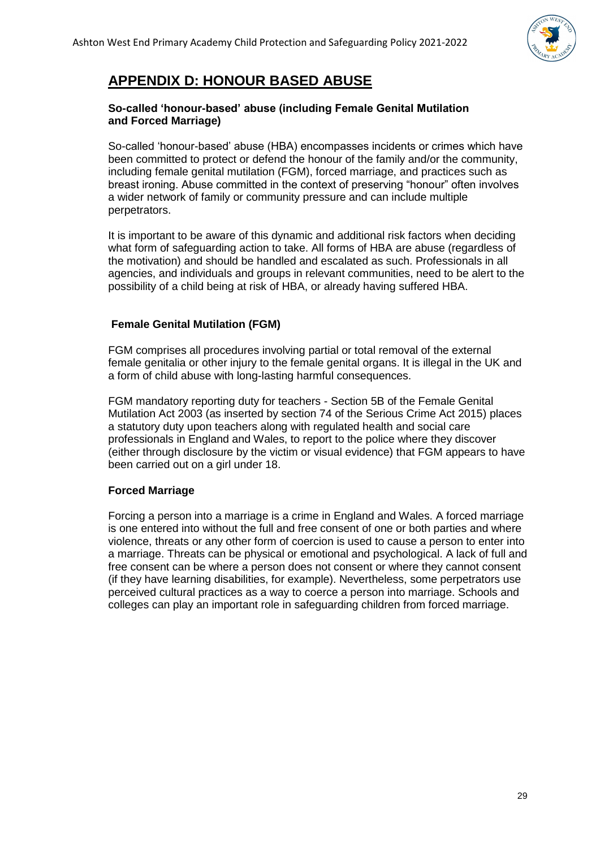

# **APPENDIX D: HONOUR BASED ABUSE**

#### **So-called 'honour-based' abuse (including Female Genital Mutilation and Forced Marriage)**

So-called 'honour-based' abuse (HBA) encompasses incidents or crimes which have been committed to protect or defend the honour of the family and/or the community, including female genital mutilation (FGM), forced marriage, and practices such as breast ironing. Abuse committed in the context of preserving "honour" often involves a wider network of family or community pressure and can include multiple perpetrators.

It is important to be aware of this dynamic and additional risk factors when deciding what form of safeguarding action to take. All forms of HBA are abuse (regardless of the motivation) and should be handled and escalated as such. Professionals in all agencies, and individuals and groups in relevant communities, need to be alert to the possibility of a child being at risk of HBA, or already having suffered HBA.

#### **Female Genital Mutilation (FGM)**

FGM comprises all procedures involving partial or total removal of the external female genitalia or other injury to the female genital organs. It is illegal in the UK and a form of child abuse with long-lasting harmful consequences.

FGM mandatory reporting duty for teachers - Section 5B of the Female Genital Mutilation Act 2003 (as inserted by section 74 of the Serious Crime Act 2015) places a statutory duty upon teachers along with regulated health and social care professionals in England and Wales, to report to the police where they discover (either through disclosure by the victim or visual evidence) that FGM appears to have been carried out on a girl under 18.

#### **Forced Marriage**

Forcing a person into a marriage is a crime in England and Wales. A forced marriage is one entered into without the full and free consent of one or both parties and where violence, threats or any other form of coercion is used to cause a person to enter into a marriage. Threats can be physical or emotional and psychological. A lack of full and free consent can be where a person does not consent or where they cannot consent (if they have learning disabilities, for example). Nevertheless, some perpetrators use perceived cultural practices as a way to coerce a person into marriage. Schools and colleges can play an important role in safeguarding children from forced marriage.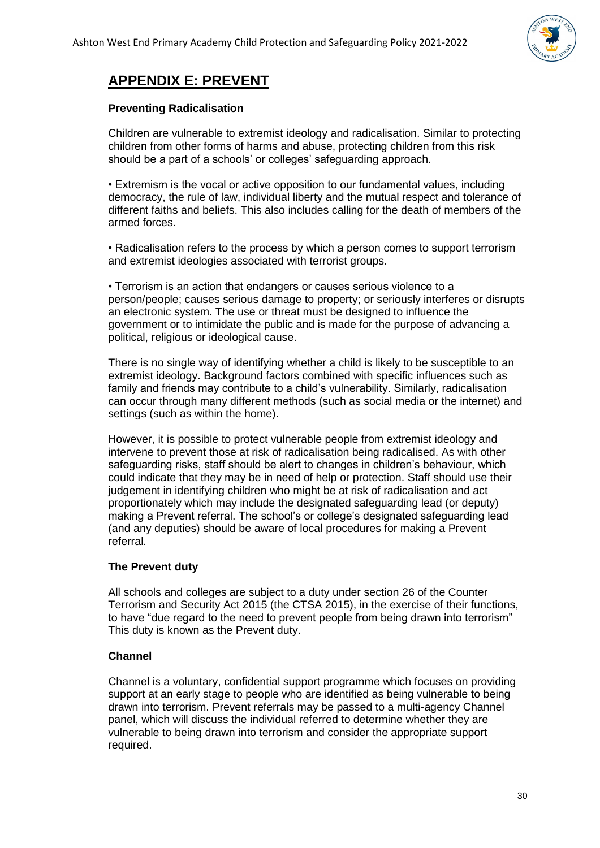

# **APPENDIX E: PREVENT**

#### **Preventing Radicalisation**

Children are vulnerable to extremist ideology and radicalisation. Similar to protecting children from other forms of harms and abuse, protecting children from this risk should be a part of a schools' or colleges' safeguarding approach.

• Extremism is the vocal or active opposition to our fundamental values, including democracy, the rule of law, individual liberty and the mutual respect and tolerance of different faiths and beliefs. This also includes calling for the death of members of the armed forces.

• Radicalisation refers to the process by which a person comes to support terrorism and extremist ideologies associated with terrorist groups.

• Terrorism is an action that endangers or causes serious violence to a person/people; causes serious damage to property; or seriously interferes or disrupts an electronic system. The use or threat must be designed to influence the government or to intimidate the public and is made for the purpose of advancing a political, religious or ideological cause.

There is no single way of identifying whether a child is likely to be susceptible to an extremist ideology. Background factors combined with specific influences such as family and friends may contribute to a child's vulnerability. Similarly, radicalisation can occur through many different methods (such as social media or the internet) and settings (such as within the home).

However, it is possible to protect vulnerable people from extremist ideology and intervene to prevent those at risk of radicalisation being radicalised. As with other safeguarding risks, staff should be alert to changes in children's behaviour, which could indicate that they may be in need of help or protection. Staff should use their judgement in identifying children who might be at risk of radicalisation and act proportionately which may include the designated safeguarding lead (or deputy) making a Prevent referral. The school's or college's designated safeguarding lead (and any deputies) should be aware of local procedures for making a Prevent referral.

#### **The Prevent duty**

All schools and colleges are subject to a duty under section 26 of the Counter Terrorism and Security Act 2015 (the CTSA 2015), in the exercise of their functions, to have "due regard to the need to prevent people from being drawn into terrorism" This duty is known as the Prevent duty.

#### **Channel**

Channel is a voluntary, confidential support programme which focuses on providing support at an early stage to people who are identified as being vulnerable to being drawn into terrorism. Prevent referrals may be passed to a multi-agency Channel panel, which will discuss the individual referred to determine whether they are vulnerable to being drawn into terrorism and consider the appropriate support required.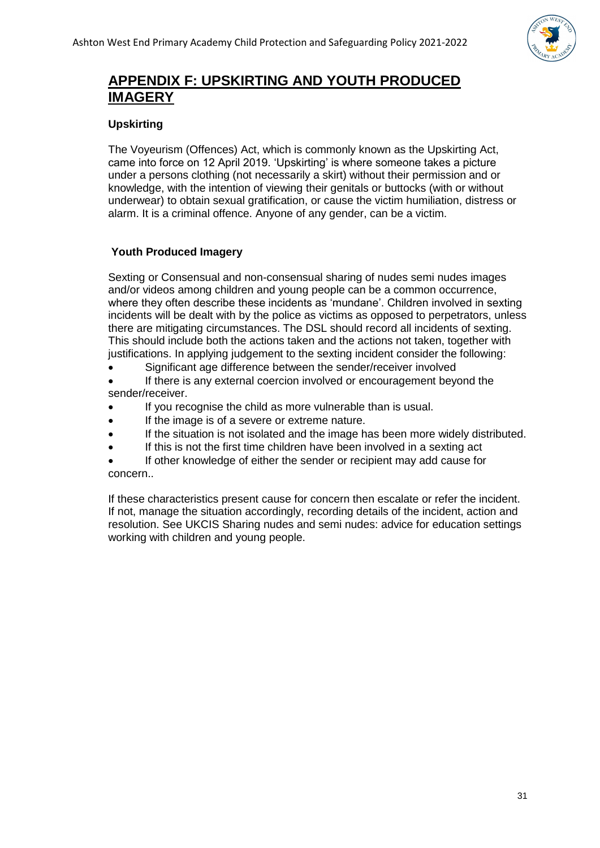

# **APPENDIX F: UPSKIRTING AND YOUTH PRODUCED IMAGERY**

### **Upskirting**

The Voyeurism (Offences) Act, which is commonly known as the Upskirting Act, came into force on 12 April 2019. 'Upskirting' is where someone takes a picture under a persons clothing (not necessarily a skirt) without their permission and or knowledge, with the intention of viewing their genitals or buttocks (with or without underwear) to obtain sexual gratification, or cause the victim humiliation, distress or alarm. It is a criminal offence. Anyone of any gender, can be a victim.

## **Youth Produced Imagery**

Sexting or Consensual and non-consensual sharing of nudes semi nudes images and/or videos among children and young people can be a common occurrence, where they often describe these incidents as 'mundane'. Children involved in sexting incidents will be dealt with by the police as victims as opposed to perpetrators, unless there are mitigating circumstances. The DSL should record all incidents of sexting. This should include both the actions taken and the actions not taken, together with justifications. In applying judgement to the sexting incident consider the following:

• Significant age difference between the sender/receiver involved

If there is any external coercion involved or encouragement beyond the sender/receiver.

- If you recognise the child as more vulnerable than is usual.
- If the image is of a severe or extreme nature.
- If the situation is not isolated and the image has been more widely distributed.
- If this is not the first time children have been involved in a sexting act
- If other knowledge of either the sender or recipient may add cause for concern..

If these characteristics present cause for concern then escalate or refer the incident. If not, manage the situation accordingly, recording details of the incident, action and resolution. See UKCIS Sharing nudes and semi nudes: advice for education settings working with children and young people.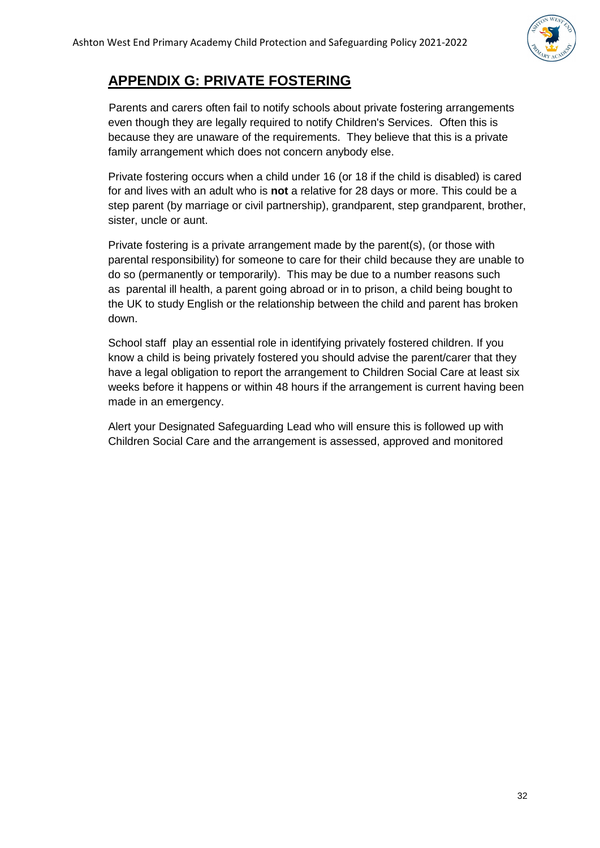

# **APPENDIX G: PRIVATE FOSTERING**

Parents and carers often fail to notify schools about private fostering arrangements even though they are legally required to notify Children's Services. Often this is because they are unaware of the requirements. They believe that this is a private family arrangement which does not concern anybody else.

Private fostering occurs when a child under 16 (or 18 if the child is disabled) is cared for and lives with an adult who is **not** a relative for 28 days or more. This could be a step parent (by marriage or civil partnership), grandparent, step grandparent, brother, sister, uncle or aunt.

Private fostering is a private arrangement made by the parent(s), (or those with parental responsibility) for someone to care for their child because they are unable to do so (permanently or temporarily). This may be due to a number reasons such as parental ill health, a parent going abroad or in to prison, a child being bought to the UK to study English or the relationship between the child and parent has broken down.

School staff play an essential role in identifying privately fostered children. If you know a child is being privately fostered you should advise the parent/carer that they have a legal obligation to report the arrangement to Children Social Care at least six weeks before it happens or within 48 hours if the arrangement is current having been made in an emergency.

Alert your Designated Safeguarding Lead who will ensure this is followed up with Children Social Care and the arrangement is assessed, approved and monitored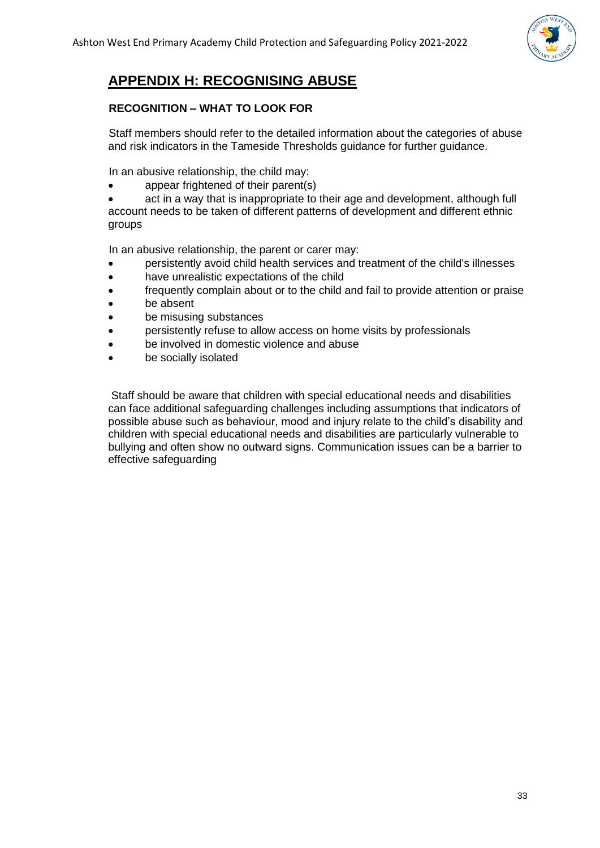

# **APPENDIX H: RECOGNISING ABUSE**

#### **RECOGNITION – WHAT TO LOOK FOR**

Staff members should refer to the detailed information about the categories of abuse and risk indicators in the Tameside Thresholds guidance for further guidance.

In an abusive relationship, the child may:

appear frightened of their parent(s)

act in a way that is inappropriate to their age and development, although full account needs to be taken of different patterns of development and different ethnic groups

In an abusive relationship, the parent or carer may:

- persistently avoid child health services and treatment of the child's illnesses
- have unrealistic expectations of the child
- frequently complain about or to the child and fail to provide attention or praise
- be absent
- be misusing substances
- persistently refuse to allow access on home visits by professionals
- be involved in domestic violence and abuse
- be socially isolated

Staff should be aware that children with special educational needs and disabilities can face additional safeguarding challenges including assumptions that indicators of possible abuse such as behaviour, mood and injury relate to the child's disability and children with special educational needs and disabilities are particularly vulnerable to bullying and often show no outward signs. Communication issues can be a barrier to effective safeguarding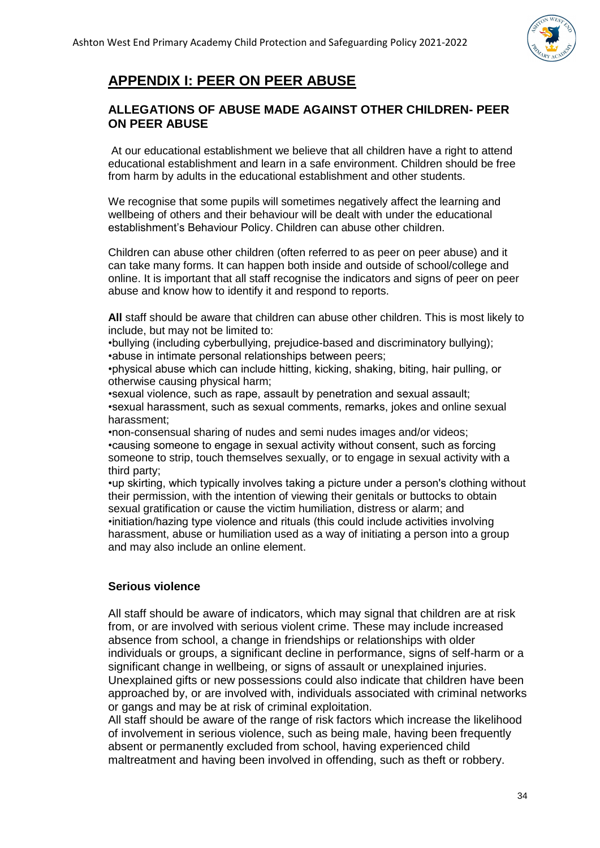

# **APPENDIX I: PEER ON PEER ABUSE**

### **ALLEGATIONS OF ABUSE MADE AGAINST OTHER CHILDREN- PEER ON PEER ABUSE**

At our educational establishment we believe that all children have a right to attend educational establishment and learn in a safe environment. Children should be free from harm by adults in the educational establishment and other students.

We recognise that some pupils will sometimes negatively affect the learning and wellbeing of others and their behaviour will be dealt with under the educational establishment's Behaviour Policy. Children can abuse other children.

Children can abuse other children (often referred to as peer on peer abuse) and it can take many forms. It can happen both inside and outside of school/college and online. It is important that all staff recognise the indicators and signs of peer on peer abuse and know how to identify it and respond to reports.

**All** staff should be aware that children can abuse other children. This is most likely to include, but may not be limited to:

•bullying (including cyberbullying, prejudice-based and discriminatory bullying); •abuse in intimate personal relationships between peers;

•physical abuse which can include hitting, kicking, shaking, biting, hair pulling, or otherwise causing physical harm;

•sexual violence, such as rape, assault by penetration and sexual assault; •sexual harassment, such as sexual comments, remarks, jokes and online sexual harassment;

•non-consensual sharing of nudes and semi nudes images and/or videos; •causing someone to engage in sexual activity without consent, such as forcing someone to strip, touch themselves sexually, or to engage in sexual activity with a third party;

•up skirting, which typically involves taking a picture under a person's clothing without their permission, with the intention of viewing their genitals or buttocks to obtain sexual gratification or cause the victim humiliation, distress or alarm; and •initiation/hazing type violence and rituals (this could include activities involving harassment, abuse or humiliation used as a way of initiating a person into a group and may also include an online element.

# **Serious violence**

All staff should be aware of indicators, which may signal that children are at risk from, or are involved with serious violent crime. These may include increased absence from school, a change in friendships or relationships with older individuals or groups, a significant decline in performance, signs of self-harm or a significant change in wellbeing, or signs of assault or unexplained injuries. Unexplained gifts or new possessions could also indicate that children have been approached by, or are involved with, individuals associated with criminal networks or gangs and may be at risk of criminal exploitation.

All staff should be aware of the range of risk factors which increase the likelihood of involvement in serious violence, such as being male, having been frequently absent or permanently excluded from school, having experienced child maltreatment and having been involved in offending, such as theft or robbery.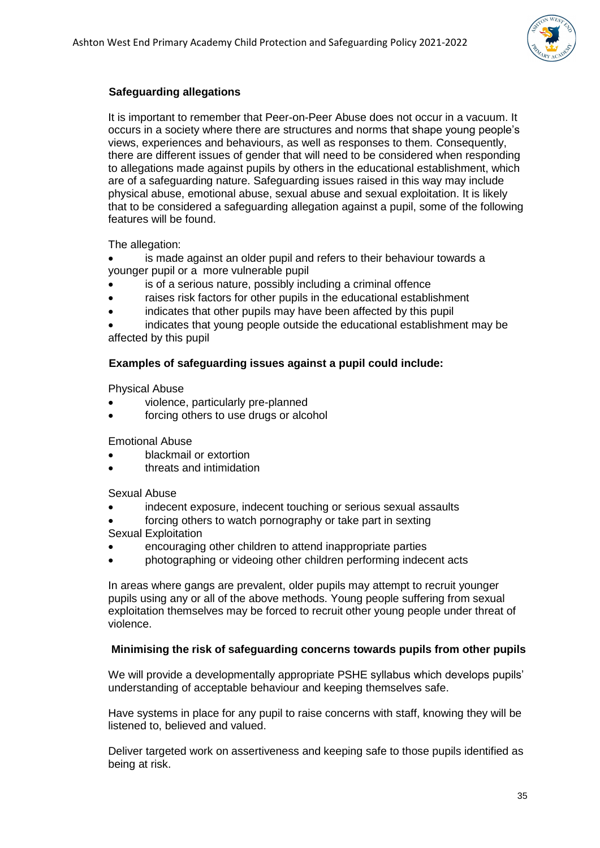

### **Safeguarding allegations**

It is important to remember that Peer-on-Peer Abuse does not occur in a vacuum. It occurs in a society where there are structures and norms that shape young people's views, experiences and behaviours, as well as responses to them. Consequently, there are different issues of gender that will need to be considered when responding to allegations made against pupils by others in the educational establishment, which are of a safeguarding nature. Safeguarding issues raised in this way may include physical abuse, emotional abuse, sexual abuse and sexual exploitation. It is likely that to be considered a safeguarding allegation against a pupil, some of the following features will be found.

The allegation:

is made against an older pupil and refers to their behaviour towards a younger pupil or a more vulnerable pupil

- is of a serious nature, possibly including a criminal offence
- raises risk factors for other pupils in the educational establishment
- indicates that other pupils may have been affected by this pupil

• indicates that young people outside the educational establishment may be affected by this pupil

#### **Examples of safeguarding issues against a pupil could include:**

Physical Abuse

- violence, particularly pre-planned
- forcing others to use drugs or alcohol

Emotional Abuse

- blackmail or extortion
- threats and intimidation

Sexual Abuse

- indecent exposure, indecent touching or serious sexual assaults
- forcing others to watch pornography or take part in sexting
- Sexual Exploitation
- encouraging other children to attend inappropriate parties
- photographing or videoing other children performing indecent acts

In areas where gangs are prevalent, older pupils may attempt to recruit younger pupils using any or all of the above methods. Young people suffering from sexual exploitation themselves may be forced to recruit other young people under threat of violence.

#### **Minimising the risk of safeguarding concerns towards pupils from other pupils**

We will provide a developmentally appropriate PSHE syllabus which develops pupils' understanding of acceptable behaviour and keeping themselves safe.

Have systems in place for any pupil to raise concerns with staff, knowing they will be listened to, believed and valued.

Deliver targeted work on assertiveness and keeping safe to those pupils identified as being at risk.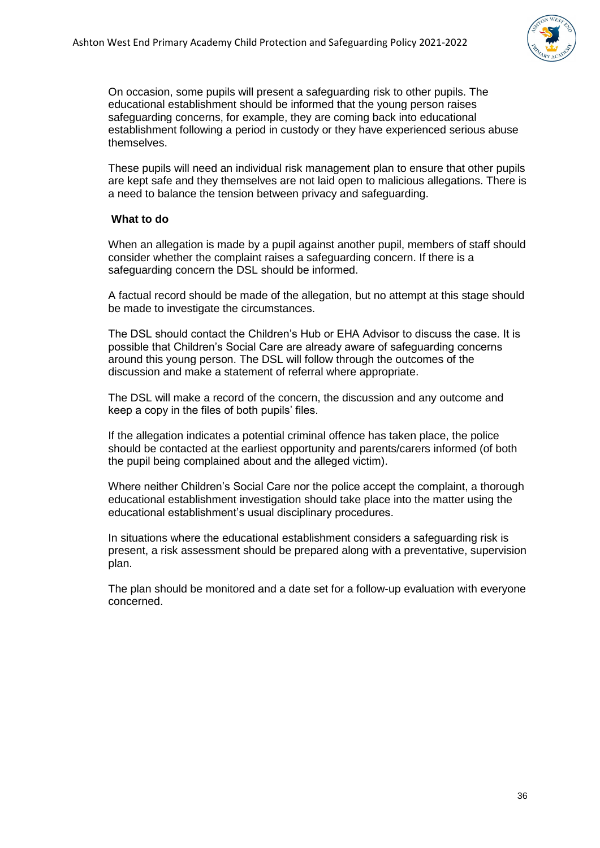

On occasion, some pupils will present a safeguarding risk to other pupils. The educational establishment should be informed that the young person raises safeguarding concerns, for example, they are coming back into educational establishment following a period in custody or they have experienced serious abuse themselves.

These pupils will need an individual risk management plan to ensure that other pupils are kept safe and they themselves are not laid open to malicious allegations. There is a need to balance the tension between privacy and safeguarding.

#### **What to do**

When an allegation is made by a pupil against another pupil, members of staff should consider whether the complaint raises a safeguarding concern. If there is a safeguarding concern the DSL should be informed.

A factual record should be made of the allegation, but no attempt at this stage should be made to investigate the circumstances.

The DSL should contact the Children's Hub or EHA Advisor to discuss the case. It is possible that Children's Social Care are already aware of safeguarding concerns around this young person. The DSL will follow through the outcomes of the discussion and make a statement of referral where appropriate.

The DSL will make a record of the concern, the discussion and any outcome and keep a copy in the files of both pupils' files.

If the allegation indicates a potential criminal offence has taken place, the police should be contacted at the earliest opportunity and parents/carers informed (of both the pupil being complained about and the alleged victim).

Where neither Children's Social Care nor the police accept the complaint, a thorough educational establishment investigation should take place into the matter using the educational establishment's usual disciplinary procedures.

In situations where the educational establishment considers a safeguarding risk is present, a risk assessment should be prepared along with a preventative, supervision plan.

The plan should be monitored and a date set for a follow-up evaluation with everyone concerned.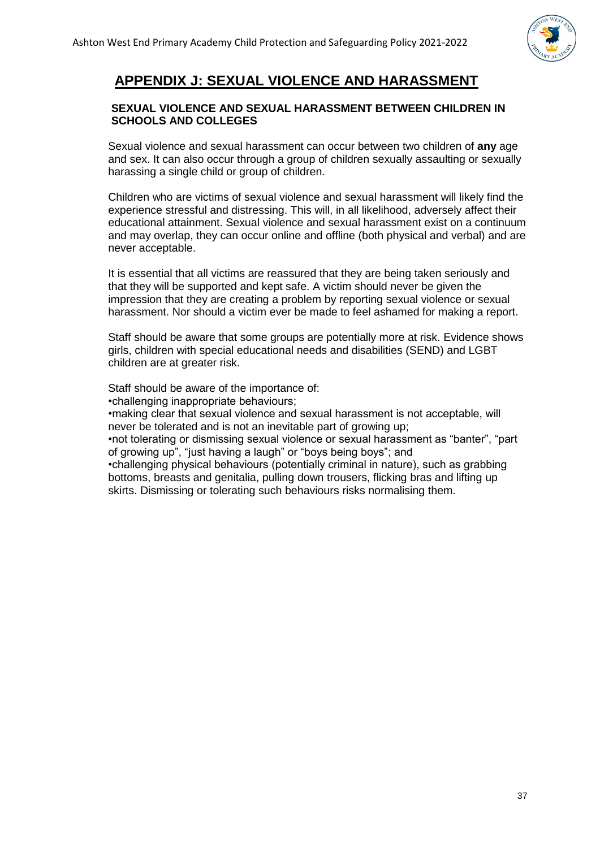

# **APPENDIX J: SEXUAL VIOLENCE AND HARASSMENT**

#### **SEXUAL VIOLENCE AND SEXUAL HARASSMENT BETWEEN CHILDREN IN SCHOOLS AND COLLEGES**

Sexual violence and sexual harassment can occur between two children of **any** age and sex. It can also occur through a group of children sexually assaulting or sexually harassing a single child or group of children.

Children who are victims of sexual violence and sexual harassment will likely find the experience stressful and distressing. This will, in all likelihood, adversely affect their educational attainment. Sexual violence and sexual harassment exist on a continuum and may overlap, they can occur online and offline (both physical and verbal) and are never acceptable.

It is essential that all victims are reassured that they are being taken seriously and that they will be supported and kept safe. A victim should never be given the impression that they are creating a problem by reporting sexual violence or sexual harassment. Nor should a victim ever be made to feel ashamed for making a report.

Staff should be aware that some groups are potentially more at risk. Evidence shows girls, children with special educational needs and disabilities (SEND) and LGBT children are at greater risk.

Staff should be aware of the importance of:

•challenging inappropriate behaviours;

•making clear that sexual violence and sexual harassment is not acceptable, will never be tolerated and is not an inevitable part of growing up:

•not tolerating or dismissing sexual violence or sexual harassment as "banter", "part of growing up", "just having a laugh" or "boys being boys"; and

•challenging physical behaviours (potentially criminal in nature), such as grabbing bottoms, breasts and genitalia, pulling down trousers, flicking bras and lifting up skirts. Dismissing or tolerating such behaviours risks normalising them.